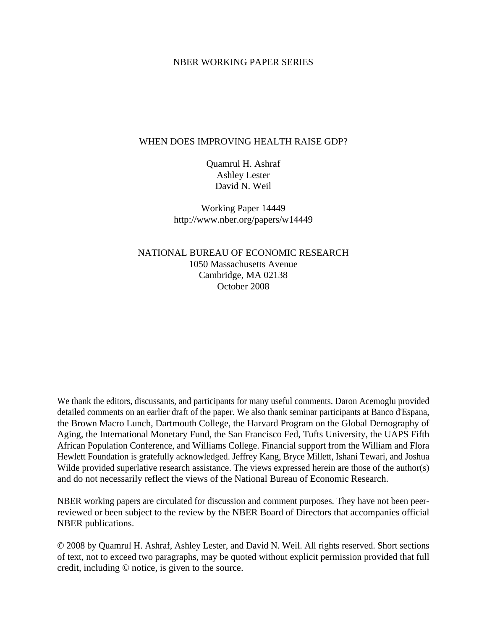## NBER WORKING PAPER SERIES

## WHEN DOES IMPROVING HEALTH RAISE GDP?

Quamrul H. Ashraf Ashley Lester David N. Weil

Working Paper 14449 http://www.nber.org/papers/w14449

NATIONAL BUREAU OF ECONOMIC RESEARCH 1050 Massachusetts Avenue Cambridge, MA 02138 October 2008

We thank the editors, discussants, and participants for many useful comments. Daron Acemoglu provided detailed comments on an earlier draft of the paper. We also thank seminar participants at Banco d'Espana, the Brown Macro Lunch, Dartmouth College, the Harvard Program on the Global Demography of Aging, the International Monetary Fund, the San Francisco Fed, Tufts University, the UAPS Fifth African Population Conference, and Williams College. Financial support from the William and Flora Hewlett Foundation is gratefully acknowledged. Jeffrey Kang, Bryce Millett, Ishani Tewari, and Joshua Wilde provided superlative research assistance. The views expressed herein are those of the author(s) and do not necessarily reflect the views of the National Bureau of Economic Research.

NBER working papers are circulated for discussion and comment purposes. They have not been peerreviewed or been subject to the review by the NBER Board of Directors that accompanies official NBER publications.

© 2008 by Quamrul H. Ashraf, Ashley Lester, and David N. Weil. All rights reserved. Short sections of text, not to exceed two paragraphs, may be quoted without explicit permission provided that full credit, including © notice, is given to the source.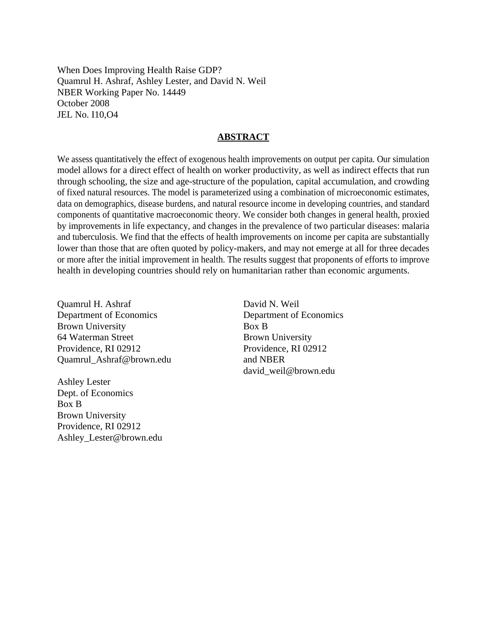When Does Improving Health Raise GDP? Quamrul H. Ashraf, Ashley Lester, and David N. Weil NBER Working Paper No. 14449 October 2008 JEL No. I10,O4

## **ABSTRACT**

We assess quantitatively the effect of exogenous health improvements on output per capita. Our simulation model allows for a direct effect of health on worker productivity, as well as indirect effects that run through schooling, the size and age-structure of the population, capital accumulation, and crowding of fixed natural resources. The model is parameterized using a combination of microeconomic estimates, data on demographics, disease burdens, and natural resource income in developing countries, and standard components of quantitative macroeconomic theory. We consider both changes in general health, proxied by improvements in life expectancy, and changes in the prevalence of two particular diseases: malaria and tuberculosis. We find that the effects of health improvements on income per capita are substantially lower than those that are often quoted by policy-makers, and may not emerge at all for three decades or more after the initial improvement in health. The results suggest that proponents of efforts to improve health in developing countries should rely on humanitarian rather than economic arguments.

Quamrul H. Ashraf Department of Economics Brown University 64 Waterman Street Providence, RI 02912 Quamrul\_Ashraf@brown.edu

Ashley Lester Dept. of Economics Box B Brown University Providence, RI 02912 Ashley\_Lester@brown.edu David N. Weil Department of Economics Box B Brown University Providence, RI 02912 and NBER david\_weil@brown.edu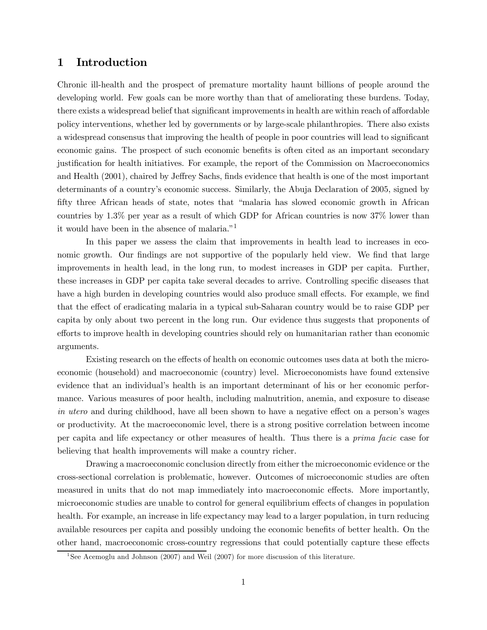# 1 Introduction

Chronic ill-health and the prospect of premature mortality haunt billions of people around the developing world. Few goals can be more worthy than that of ameliorating these burdens. Today, there exists a widespread belief that significant improvements in health are within reach of affordable policy interventions, whether led by governments or by large-scale philanthropies. There also exists a widespread consensus that improving the health of people in poor countries will lead to significant economic gains. The prospect of such economic benefits is often cited as an important secondary justification for health initiatives. For example, the report of the Commission on Macroeconomics and Health (2001), chaired by Jeffrey Sachs, finds evidence that health is one of the most important determinants of a country's economic success. Similarly, the Abuja Declaration of 2005, signed by fifty three African heads of state, notes that "malaria has slowed economic growth in African countries by 1.3% per year as a result of which GDP for African countries is now 37% lower than it would have been in the absence of malaria."1

In this paper we assess the claim that improvements in health lead to increases in economic growth. Our findings are not supportive of the popularly held view. We find that large improvements in health lead, in the long run, to modest increases in GDP per capita. Further, these increases in GDP per capita take several decades to arrive. Controlling specific diseases that have a high burden in developing countries would also produce small effects. For example, we find that the effect of eradicating malaria in a typical sub-Saharan country would be to raise GDP per capita by only about two percent in the long run. Our evidence thus suggests that proponents of efforts to improve health in developing countries should rely on humanitarian rather than economic arguments.

Existing research on the effects of health on economic outcomes uses data at both the microeconomic (household) and macroeconomic (country) level. Microeconomists have found extensive evidence that an individual's health is an important determinant of his or her economic performance. Various measures of poor health, including malnutrition, anemia, and exposure to disease in utero and during childhood, have all been shown to have a negative effect on a person's wages or productivity. At the macroeconomic level, there is a strong positive correlation between income per capita and life expectancy or other measures of health. Thus there is a prima facie case for believing that health improvements will make a country richer.

Drawing a macroeconomic conclusion directly from either the microeconomic evidence or the cross-sectional correlation is problematic, however. Outcomes of microeconomic studies are often measured in units that do not map immediately into macroeconomic effects. More importantly, microeconomic studies are unable to control for general equilibrium effects of changes in population health. For example, an increase in life expectancy may lead to a larger population, in turn reducing available resources per capita and possibly undoing the economic benefits of better health. On the other hand, macroeconomic cross-country regressions that could potentially capture these effects

<sup>&</sup>lt;sup>1</sup>See Acemoglu and Johnson (2007) and Weil (2007) for more discussion of this literature.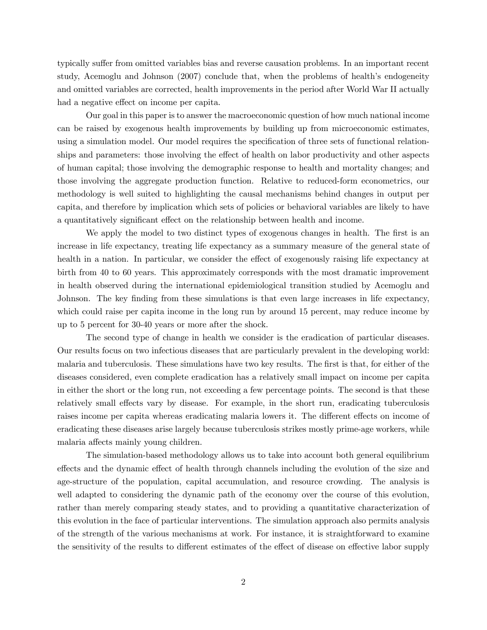typically suffer from omitted variables bias and reverse causation problems. In an important recent study, Acemoglu and Johnson (2007) conclude that, when the problems of health's endogeneity and omitted variables are corrected, health improvements in the period after World War II actually had a negative effect on income per capita.

Our goal in this paper is to answer the macroeconomic question of how much national income can be raised by exogenous health improvements by building up from microeconomic estimates, using a simulation model. Our model requires the specification of three sets of functional relationships and parameters: those involving the effect of health on labor productivity and other aspects of human capital; those involving the demographic response to health and mortality changes; and those involving the aggregate production function. Relative to reduced-form econometrics, our methodology is well suited to highlighting the causal mechanisms behind changes in output per capita, and therefore by implication which sets of policies or behavioral variables are likely to have a quantitatively significant effect on the relationship between health and income.

We apply the model to two distinct types of exogenous changes in health. The first is an increase in life expectancy, treating life expectancy as a summary measure of the general state of health in a nation. In particular, we consider the effect of exogenously raising life expectancy at birth from 40 to 60 years. This approximately corresponds with the most dramatic improvement in health observed during the international epidemiological transition studied by Acemoglu and Johnson. The key finding from these simulations is that even large increases in life expectancy, which could raise per capita income in the long run by around 15 percent, may reduce income by up to 5 percent for 30-40 years or more after the shock.

The second type of change in health we consider is the eradication of particular diseases. Our results focus on two infectious diseases that are particularly prevalent in the developing world: malaria and tuberculosis. These simulations have two key results. The first is that, for either of the diseases considered, even complete eradication has a relatively small impact on income per capita in either the short or the long run, not exceeding a few percentage points. The second is that these relatively small effects vary by disease. For example, in the short run, eradicating tuberculosis raises income per capita whereas eradicating malaria lowers it. The different effects on income of eradicating these diseases arise largely because tuberculosis strikes mostly prime-age workers, while malaria affects mainly young children.

The simulation-based methodology allows us to take into account both general equilibrium effects and the dynamic effect of health through channels including the evolution of the size and age-structure of the population, capital accumulation, and resource crowding. The analysis is well adapted to considering the dynamic path of the economy over the course of this evolution, rather than merely comparing steady states, and to providing a quantitative characterization of this evolution in the face of particular interventions. The simulation approach also permits analysis of the strength of the various mechanisms at work. For instance, it is straightforward to examine the sensitivity of the results to different estimates of the effect of disease on effective labor supply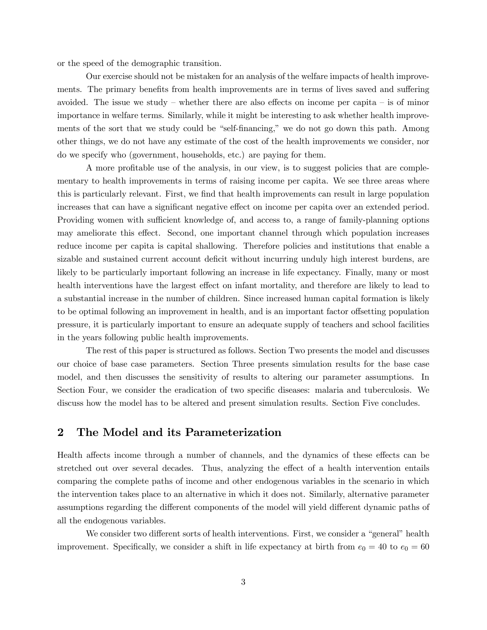or the speed of the demographic transition.

Our exercise should not be mistaken for an analysis of the welfare impacts of health improvements. The primary benefits from health improvements are in terms of lives saved and suffering avoided. The issue we study – whether there are also effects on income per capita – is of minor importance in welfare terms. Similarly, while it might be interesting to ask whether health improvements of the sort that we study could be "self-financing," we do not go down this path. Among other things, we do not have any estimate of the cost of the health improvements we consider, nor do we specify who (government, households, etc.) are paying for them.

A more profitable use of the analysis, in our view, is to suggest policies that are complementary to health improvements in terms of raising income per capita. We see three areas where this is particularly relevant. First, we find that health improvements can result in large population increases that can have a significant negative effect on income per capita over an extended period. Providing women with sufficient knowledge of, and access to, a range of family-planning options may ameliorate this effect. Second, one important channel through which population increases reduce income per capita is capital shallowing. Therefore policies and institutions that enable a sizable and sustained current account deficit without incurring unduly high interest burdens, are likely to be particularly important following an increase in life expectancy. Finally, many or most health interventions have the largest effect on infant mortality, and therefore are likely to lead to a substantial increase in the number of children. Since increased human capital formation is likely to be optimal following an improvement in health, and is an important factor offsetting population pressure, it is particularly important to ensure an adequate supply of teachers and school facilities in the years following public health improvements.

The rest of this paper is structured as follows. Section Two presents the model and discusses our choice of base case parameters. Section Three presents simulation results for the base case model, and then discusses the sensitivity of results to altering our parameter assumptions. In Section Four, we consider the eradication of two specific diseases: malaria and tuberculosis. We discuss how the model has to be altered and present simulation results. Section Five concludes.

# 2 The Model and its Parameterization

Health affects income through a number of channels, and the dynamics of these effects can be stretched out over several decades. Thus, analyzing the effect of a health intervention entails comparing the complete paths of income and other endogenous variables in the scenario in which the intervention takes place to an alternative in which it does not. Similarly, alternative parameter assumptions regarding the different components of the model will yield different dynamic paths of all the endogenous variables.

We consider two different sorts of health interventions. First, we consider a "general" health improvement. Specifically, we consider a shift in life expectancy at birth from  $e_0 = 40$  to  $e_0 = 60$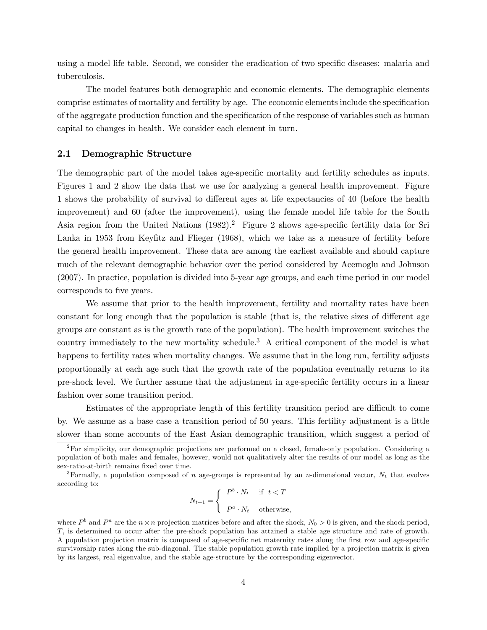using a model life table. Second, we consider the eradication of two specific diseases: malaria and tuberculosis.

The model features both demographic and economic elements. The demographic elements comprise estimates of mortality and fertility by age. The economic elements include the specification of the aggregate production function and the specification of the response of variables such as human capital to changes in health. We consider each element in turn.

#### 2.1 Demographic Structure

The demographic part of the model takes age-specific mortality and fertility schedules as inputs. Figures 1 and 2 show the data that we use for analyzing a general health improvement. Figure 1 shows the probability of survival to different ages at life expectancies of 40 (before the health improvement) and 60 (after the improvement), using the female model life table for the South Asia region from the United Nations (1982).<sup>2</sup> Figure 2 shows age-specific fertility data for Sri Lanka in 1953 from Keyfitz and Flieger (1968), which we take as a measure of fertility before the general health improvement. These data are among the earliest available and should capture much of the relevant demographic behavior over the period considered by Acemoglu and Johnson (2007). In practice, population is divided into 5-year age groups, and each time period in our model corresponds to five years.

We assume that prior to the health improvement, fertility and mortality rates have been constant for long enough that the population is stable (that is, the relative sizes of different age groups are constant as is the growth rate of the population). The health improvement switches the country immediately to the new mortality schedule.<sup>3</sup> A critical component of the model is what happens to fertility rates when mortality changes. We assume that in the long run, fertility adjusts proportionally at each age such that the growth rate of the population eventually returns to its pre-shock level. We further assume that the adjustment in age-specific fertility occurs in a linear fashion over some transition period.

Estimates of the appropriate length of this fertility transition period are difficult to come by. We assume as a base case a transition period of 50 years. This fertility adjustment is a little slower than some accounts of the East Asian demographic transition, which suggest a period of

$$
N_{t+1} = \begin{cases} P^b \cdot N_t & \text{if } t < T \\ P^a \cdot N_t & \text{otherwise,} \end{cases}
$$

<sup>2</sup>For simplicity, our demographic projections are performed on a closed, female-only population. Considering a population of both males and females, however, would not qualitatively alter the results of our model as long as the sex-ratio-at-birth remains fixed over time.

<sup>&</sup>lt;sup>3</sup>Formally, a population composed of n age-groups is represented by an n-dimensional vector,  $N_t$  that evolves according to:

where  $P^b$  and  $P^a$  are the  $n \times n$  projection matrices before and after the shock,  $N_0 > 0$  is given, and the shock period, T, is determined to occur after the pre-shock population has attained a stable age structure and rate of growth. A population projection matrix is composed of age-specific net maternity rates along the first row and age-specific survivorship rates along the sub-diagonal. The stable population growth rate implied by a projection matrix is given by its largest, real eigenvalue, and the stable age-structure by the corresponding eigenvector.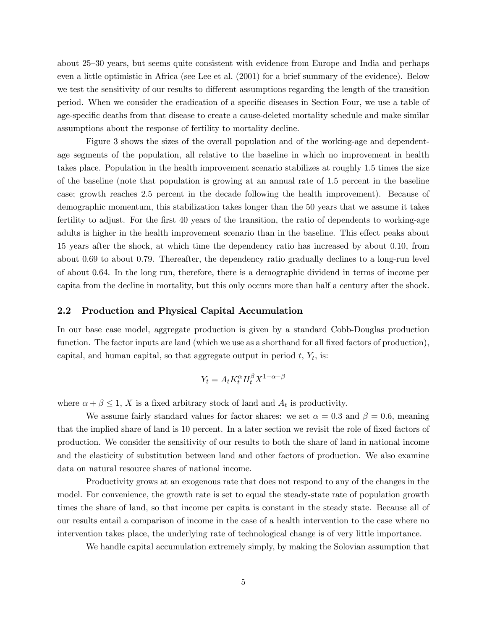about 25—30 years, but seems quite consistent with evidence from Europe and India and perhaps even a little optimistic in Africa (see Lee et al. (2001) for a brief summary of the evidence). Below we test the sensitivity of our results to different assumptions regarding the length of the transition period. When we consider the eradication of a specific diseases in Section Four, we use a table of age-specific deaths from that disease to create a cause-deleted mortality schedule and make similar assumptions about the response of fertility to mortality decline.

Figure 3 shows the sizes of the overall population and of the working-age and dependentage segments of the population, all relative to the baseline in which no improvement in health takes place. Population in the health improvement scenario stabilizes at roughly 1.5 times the size of the baseline (note that population is growing at an annual rate of 1.5 percent in the baseline case; growth reaches 2.5 percent in the decade following the health improvement). Because of demographic momentum, this stabilization takes longer than the 50 years that we assume it takes fertility to adjust. For the first 40 years of the transition, the ratio of dependents to working-age adults is higher in the health improvement scenario than in the baseline. This effect peaks about 15 years after the shock, at which time the dependency ratio has increased by about 0.10, from about 0.69 to about 0.79. Thereafter, the dependency ratio gradually declines to a long-run level of about 0.64. In the long run, therefore, there is a demographic dividend in terms of income per capita from the decline in mortality, but this only occurs more than half a century after the shock.

## 2.2 Production and Physical Capital Accumulation

In our base case model, aggregate production is given by a standard Cobb-Douglas production function. The factor inputs are land (which we use as a shorthand for all fixed factors of production), capital, and human capital, so that aggregate output in period  $t$ ,  $Y_t$ , is:

$$
Y_t = A_t K_t^{\alpha} H_t^{\beta} X^{1-\alpha-\beta}
$$

where  $\alpha + \beta \leq 1$ , X is a fixed arbitrary stock of land and  $A_t$  is productivity.

We assume fairly standard values for factor shares: we set  $\alpha = 0.3$  and  $\beta = 0.6$ , meaning that the implied share of land is 10 percent. In a later section we revisit the role of fixed factors of production. We consider the sensitivity of our results to both the share of land in national income and the elasticity of substitution between land and other factors of production. We also examine data on natural resource shares of national income.

Productivity grows at an exogenous rate that does not respond to any of the changes in the model. For convenience, the growth rate is set to equal the steady-state rate of population growth times the share of land, so that income per capita is constant in the steady state. Because all of our results entail a comparison of income in the case of a health intervention to the case where no intervention takes place, the underlying rate of technological change is of very little importance.

We handle capital accumulation extremely simply, by making the Solovian assumption that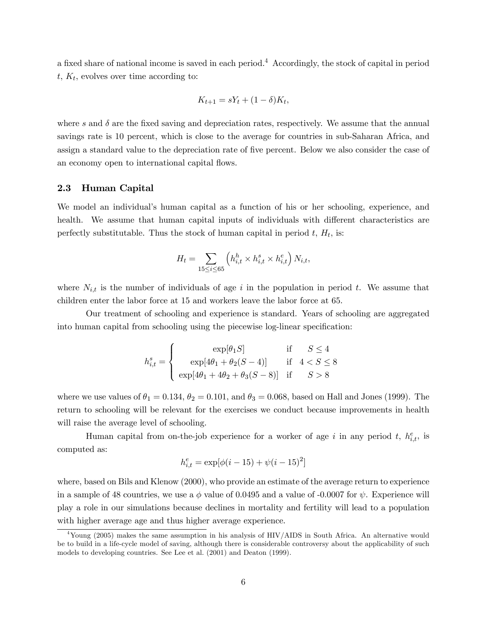a fixed share of national income is saved in each period.<sup>4</sup> Accordingly, the stock of capital in period  $t, K_t$ , evolves over time according to:

$$
K_{t+1} = sY_t + (1 - \delta)K_t,
$$

where s and  $\delta$  are the fixed saving and depreciation rates, respectively. We assume that the annual savings rate is 10 percent, which is close to the average for countries in sub-Saharan Africa, and assign a standard value to the depreciation rate of five percent. Below we also consider the case of an economy open to international capital flows.

## 2.3 Human Capital

We model an individual's human capital as a function of his or her schooling, experience, and health. We assume that human capital inputs of individuals with different characteristics are perfectly substitutable. Thus the stock of human capital in period  $t$ ,  $H_t$ , is:

$$
H_t = \sum_{15 \leq i \leq 65} \left( h_{i,t}^h \times h_{i,t}^s \times h_{i,t}^e \right) N_{i,t},
$$

where  $N_{i,t}$  is the number of individuals of age i in the population in period t. We assume that children enter the labor force at 15 and workers leave the labor force at 65.

Our treatment of schooling and experience is standard. Years of schooling are aggregated into human capital from schooling using the piecewise log-linear specification:

$$
h_{i,t}^s=\left\{\begin{array}{ccc}\exp[\theta_1S]&\text{if}&S\leq 4\\ \exp[4\theta_1+\theta_2(S-4)]&\text{if}&48\end{array}\right.
$$

where we use values of  $\theta_1 = 0.134$ ,  $\theta_2 = 0.101$ , and  $\theta_3 = 0.068$ , based on Hall and Jones (1999). The return to schooling will be relevant for the exercises we conduct because improvements in health will raise the average level of schooling.

Human capital from on-the-job experience for a worker of age i in any period t,  $h_{i,t}^e$ , is computed as:

$$
h_{i,t}^e = \exp[\phi(i-15) + \psi(i-15)^2]
$$

where, based on Bils and Klenow (2000), who provide an estimate of the average return to experience in a sample of 48 countries, we use a  $\phi$  value of 0.0495 and a value of -0.0007 for  $\psi$ . Experience will play a role in our simulations because declines in mortality and fertility will lead to a population with higher average age and thus higher average experience.

<sup>&</sup>lt;sup>4</sup>Young (2005) makes the same assumption in his analysis of HIV/AIDS in South Africa. An alternative would be to build in a life-cycle model of saving, although there is considerable controversy about the applicability of such models to developing countries. See Lee et al. (2001) and Deaton (1999).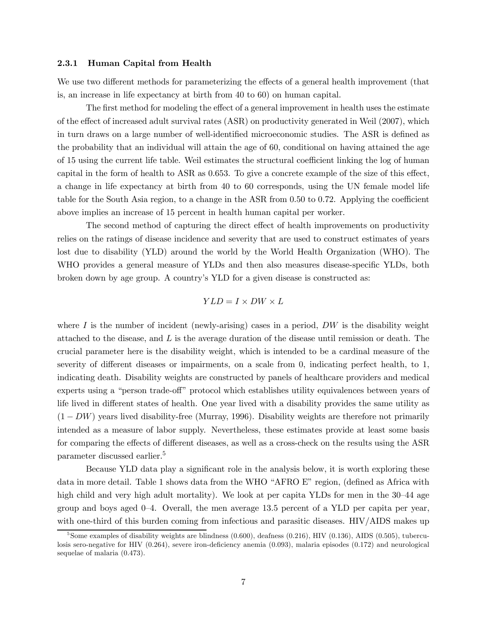#### 2.3.1 Human Capital from Health

We use two different methods for parameterizing the effects of a general health improvement (that is, an increase in life expectancy at birth from 40 to 60) on human capital.

The first method for modeling the effect of a general improvement in health uses the estimate of the effect of increased adult survival rates (ASR) on productivity generated in Weil (2007), which in turn draws on a large number of well-identified microeconomic studies. The ASR is defined as the probability that an individual will attain the age of 60, conditional on having attained the age of 15 using the current life table. Weil estimates the structural coefficient linking the log of human capital in the form of health to ASR as 0.653. To give a concrete example of the size of this effect, a change in life expectancy at birth from 40 to 60 corresponds, using the UN female model life table for the South Asia region, to a change in the ASR from 0.50 to 0.72. Applying the coefficient above implies an increase of 15 percent in health human capital per worker.

The second method of capturing the direct effect of health improvements on productivity relies on the ratings of disease incidence and severity that are used to construct estimates of years lost due to disability (YLD) around the world by the World Health Organization (WHO). The WHO provides a general measure of YLDs and then also measures disease-specific YLDs, both broken down by age group. A country's YLD for a given disease is constructed as:

$$
YLD = I \times DW \times L
$$

where I is the number of incident (newly-arising) cases in a period,  $DW$  is the disability weight attached to the disease, and L is the average duration of the disease until remission or death. The crucial parameter here is the disability weight, which is intended to be a cardinal measure of the severity of different diseases or impairments, on a scale from 0, indicating perfect health, to 1, indicating death. Disability weights are constructed by panels of healthcare providers and medical experts using a "person trade-off" protocol which establishes utility equivalences between years of life lived in different states of health. One year lived with a disability provides the same utility as  $(1 - DW)$  years lived disability-free (Murray, 1996). Disability weights are therefore not primarily intended as a measure of labor supply. Nevertheless, these estimates provide at least some basis for comparing the effects of different diseases, as well as a cross-check on the results using the ASR parameter discussed earlier.5

Because YLD data play a significant role in the analysis below, it is worth exploring these data in more detail. Table 1 shows data from the WHO "AFRO E" region, (defined as Africa with high child and very high adult mortality). We look at per capita YLDs for men in the 30–44 age group and boys aged 0—4. Overall, the men average 13.5 percent of a YLD per capita per year, with one-third of this burden coming from infectious and parasitic diseases. HIV/AIDS makes up

<sup>&</sup>lt;sup>5</sup>Some examples of disability weights are blindness  $(0.600)$ , deafness  $(0.216)$ , HIV  $(0.136)$ , AIDS  $(0.505)$ , tuberculosis sero-negative for HIV (0.264), severe iron-deficiency anemia (0.093), malaria episodes (0.172) and neurological sequelae of malaria (0.473).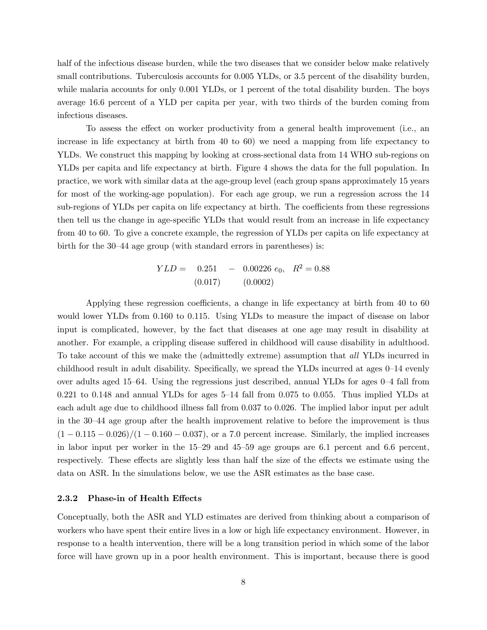half of the infectious disease burden, while the two diseases that we consider below make relatively small contributions. Tuberculosis accounts for 0.005 YLDs, or 3.5 percent of the disability burden, while malaria accounts for only 0.001 YLDs, or 1 percent of the total disability burden. The boys average 16.6 percent of a YLD per capita per year, with two thirds of the burden coming from infectious diseases.

To assess the effect on worker productivity from a general health improvement (i.e., an increase in life expectancy at birth from 40 to 60) we need a mapping from life expectancy to YLDs. We construct this mapping by looking at cross-sectional data from 14 WHO sub-regions on YLDs per capita and life expectancy at birth. Figure 4 shows the data for the full population. In practice, we work with similar data at the age-group level (each group spans approximately 15 years for most of the working-age population). For each age group, we run a regression across the 14 sub-regions of YLDs per capita on life expectancy at birth. The coefficients from these regressions then tell us the change in age-specific YLDs that would result from an increase in life expectancy from 40 to 60. To give a concrete example, the regression of YLDs per capita on life expectancy at birth for the 30—44 age group (with standard errors in parentheses) is:

$$
YLD = 0.251 - 0.00226 e_0, R^2 = 0.88
$$
  
(0.017) (0.0002)

Applying these regression coefficients, a change in life expectancy at birth from 40 to 60 would lower YLDs from 0.160 to 0.115. Using YLDs to measure the impact of disease on labor input is complicated, however, by the fact that diseases at one age may result in disability at another. For example, a crippling disease suffered in childhood will cause disability in adulthood. To take account of this we make the (admittedly extreme) assumption that all YLDs incurred in childhood result in adult disability. Specifically, we spread the YLDs incurred at ages 0—14 evenly over adults aged 15—64. Using the regressions just described, annual YLDs for ages 0—4 fall from 0.221 to 0.148 and annual YLDs for ages 5—14 fall from 0.075 to 0.055. Thus implied YLDs at each adult age due to childhood illness fall from 0.037 to 0.026. The implied labor input per adult in the 30—44 age group after the health improvement relative to before the improvement is thus  $(1 - 0.115 - 0.026)/(1 - 0.160 - 0.037)$ , or a 7.0 percent increase. Similarly, the implied increases in labor input per worker in the 15—29 and 45—59 age groups are 6.1 percent and 6.6 percent, respectively. These effects are slightly less than half the size of the effects we estimate using the data on ASR. In the simulations below, we use the ASR estimates as the base case.

## 2.3.2 Phase-in of Health Effects

Conceptually, both the ASR and YLD estimates are derived from thinking about a comparison of workers who have spent their entire lives in a low or high life expectancy environment. However, in response to a health intervention, there will be a long transition period in which some of the labor force will have grown up in a poor health environment. This is important, because there is good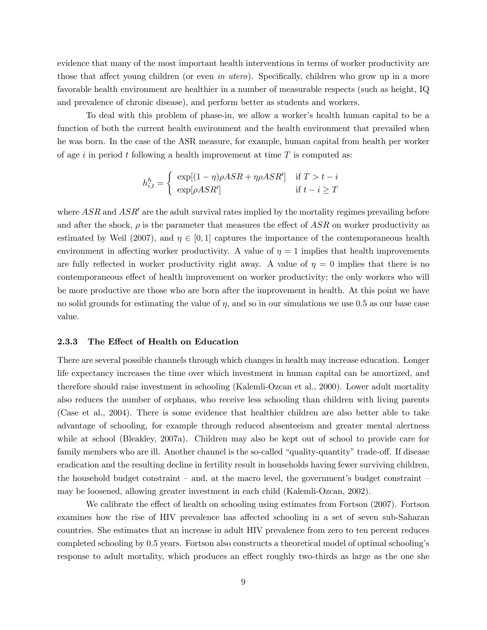evidence that many of the most important health interventions in terms of worker productivity are those that affect young children (or even in utero). Specifically, children who grow up in a more favorable health environment are healthier in a number of measurable respects (such as height, IQ and prevalence of chronic disease), and perform better as students and workers.

To deal with this problem of phase-in, we allow a worker's health human capital to be a function of both the current health environment and the health environment that prevailed when he was born. In the case of the ASR measure, for example, human capital from health per worker of age i in period t following a health improvement at time  $T$  is computed as:

$$
h_{i,t}^h = \begin{cases} \exp[(1-\eta)\rho ASR + \eta \rho ASR'] & \text{if } T > t - i \\ \exp[\rho ASR'] & \text{if } t - i \ge T \end{cases}
$$

where  $ASR$  and  $ASR'$  are the adult survival rates implied by the mortality regimes prevailing before and after the shock,  $\rho$  is the parameter that measures the effect of ASR on worker productivity as estimated by Weil (2007), and  $\eta \in [0, 1]$  captures the importance of the contemporaneous health environment in affecting worker productivity. A value of  $\eta = 1$  implies that health improvements are fully reflected in worker productivity right away. A value of  $\eta = 0$  implies that there is no contemporaneous effect of health improvement on worker productivity; the only workers who will be more productive are those who are born after the improvement in health. At this point we have no solid grounds for estimating the value of  $\eta$ , and so in our simulations we use 0.5 as our base case value.

#### 2.3.3 The Effect of Health on Education

There are several possible channels through which changes in health may increase education. Longer life expectancy increases the time over which investment in human capital can be amortized, and therefore should raise investment in schooling (Kalemli-Ozcan et al., 2000). Lower adult mortality also reduces the number of orphans, who receive less schooling than children with living parents (Case et al., 2004). There is some evidence that healthier children are also better able to take advantage of schooling, for example through reduced absenteeism and greater mental alertness while at school (Bleakley, 2007a). Children may also be kept out of school to provide care for family members who are ill. Another channel is the so-called "quality-quantity" trade-off. If disease eradication and the resulting decline in fertility result in households having fewer surviving children, the household budget constraint  $-$  and, at the macro level, the government's budget constraint  $$ may be loosened, allowing greater investment in each child (Kalemli-Ozcan, 2002).

We calibrate the effect of health on schooling using estimates from Fortson (2007). Fortson examines how the rise of HIV prevalence has affected schooling in a set of seven sub-Saharan countries. She estimates that an increase in adult HIV prevalence from zero to ten percent reduces completed schooling by 0.5 years. Fortson also constructs a theoretical model of optimal schooling's response to adult mortality, which produces an effect roughly two-thirds as large as the one she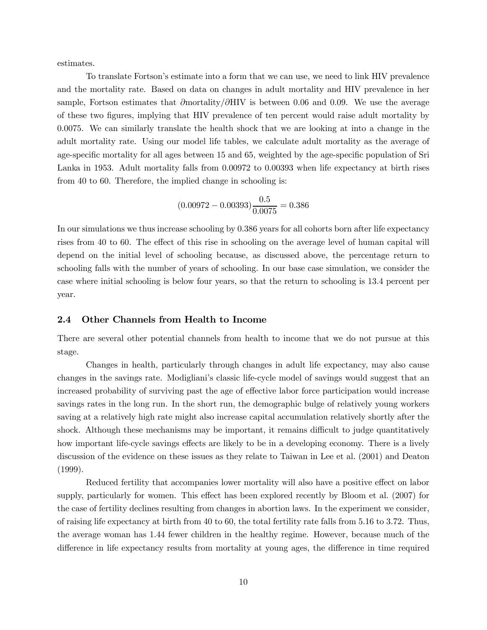estimates.

To translate Fortson's estimate into a form that we can use, we need to link HIV prevalence and the mortality rate. Based on data on changes in adult mortality and HIV prevalence in her sample, Fortson estimates that  $\partial$ mortality/∂HIV is between 0.06 and 0.09. We use the average of these two figures, implying that HIV prevalence of ten percent would raise adult mortality by 0.0075. We can similarly translate the health shock that we are looking at into a change in the adult mortality rate. Using our model life tables, we calculate adult mortality as the average of age-specific mortality for all ages between 15 and 65, weighted by the age-specific population of Sri Lanka in 1953. Adult mortality falls from 0.00972 to 0.00393 when life expectancy at birth rises from 40 to 60. Therefore, the implied change in schooling is:

$$
(0.00972 - 0.00393) \frac{0.5}{0.0075} = 0.386
$$

In our simulations we thus increase schooling by 0.386 years for all cohorts born after life expectancy rises from 40 to 60. The effect of this rise in schooling on the average level of human capital will depend on the initial level of schooling because, as discussed above, the percentage return to schooling falls with the number of years of schooling. In our base case simulation, we consider the case where initial schooling is below four years, so that the return to schooling is 13.4 percent per year.

### 2.4 Other Channels from Health to Income

There are several other potential channels from health to income that we do not pursue at this stage.

Changes in health, particularly through changes in adult life expectancy, may also cause changes in the savings rate. Modigliani's classic life-cycle model of savings would suggest that an increased probability of surviving past the age of effective labor force participation would increase savings rates in the long run. In the short run, the demographic bulge of relatively young workers saving at a relatively high rate might also increase capital accumulation relatively shortly after the shock. Although these mechanisms may be important, it remains difficult to judge quantitatively how important life-cycle savings effects are likely to be in a developing economy. There is a lively discussion of the evidence on these issues as they relate to Taiwan in Lee et al. (2001) and Deaton (1999).

Reduced fertility that accompanies lower mortality will also have a positive effect on labor supply, particularly for women. This effect has been explored recently by Bloom et al. (2007) for the case of fertility declines resulting from changes in abortion laws. In the experiment we consider, of raising life expectancy at birth from 40 to 60, the total fertility rate falls from 5.16 to 3.72. Thus, the average woman has 1.44 fewer children in the healthy regime. However, because much of the difference in life expectancy results from mortality at young ages, the difference in time required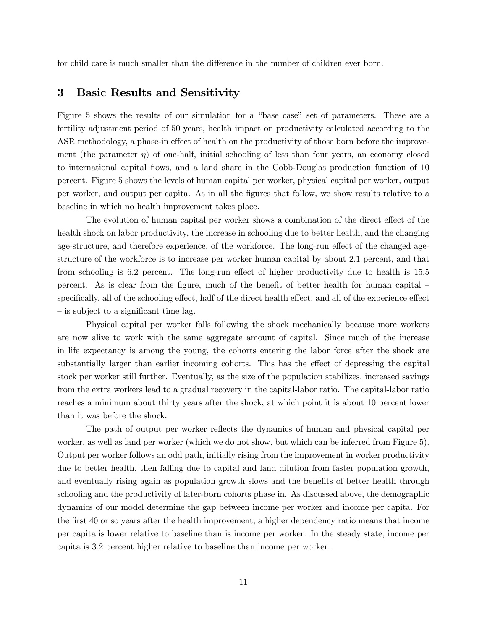for child care is much smaller than the difference in the number of children ever born.

# 3 Basic Results and Sensitivity

Figure 5 shows the results of our simulation for a "base case" set of parameters. These are a fertility adjustment period of 50 years, health impact on productivity calculated according to the ASR methodology, a phase-in effect of health on the productivity of those born before the improvement (the parameter  $\eta$ ) of one-half, initial schooling of less than four years, an economy closed to international capital flows, and a land share in the Cobb-Douglas production function of 10 percent. Figure 5 shows the levels of human capital per worker, physical capital per worker, output per worker, and output per capita. As in all the figures that follow, we show results relative to a baseline in which no health improvement takes place.

The evolution of human capital per worker shows a combination of the direct effect of the health shock on labor productivity, the increase in schooling due to better health, and the changing age-structure, and therefore experience, of the workforce. The long-run effect of the changed agestructure of the workforce is to increase per worker human capital by about 2.1 percent, and that from schooling is 6.2 percent. The long-run effect of higher productivity due to health is 15.5 percent. As is clear from the figure, much of the benefit of better health for human capital specifically, all of the schooling effect, half of the direct health effect, and all of the experience effect — is subject to a significant time lag.

Physical capital per worker falls following the shock mechanically because more workers are now alive to work with the same aggregate amount of capital. Since much of the increase in life expectancy is among the young, the cohorts entering the labor force after the shock are substantially larger than earlier incoming cohorts. This has the effect of depressing the capital stock per worker still further. Eventually, as the size of the population stabilizes, increased savings from the extra workers lead to a gradual recovery in the capital-labor ratio. The capital-labor ratio reaches a minimum about thirty years after the shock, at which point it is about 10 percent lower than it was before the shock.

The path of output per worker reflects the dynamics of human and physical capital per worker, as well as land per worker (which we do not show, but which can be inferred from Figure 5). Output per worker follows an odd path, initially rising from the improvement in worker productivity due to better health, then falling due to capital and land dilution from faster population growth, and eventually rising again as population growth slows and the benefits of better health through schooling and the productivity of later-born cohorts phase in. As discussed above, the demographic dynamics of our model determine the gap between income per worker and income per capita. For the first 40 or so years after the health improvement, a higher dependency ratio means that income per capita is lower relative to baseline than is income per worker. In the steady state, income per capita is 3.2 percent higher relative to baseline than income per worker.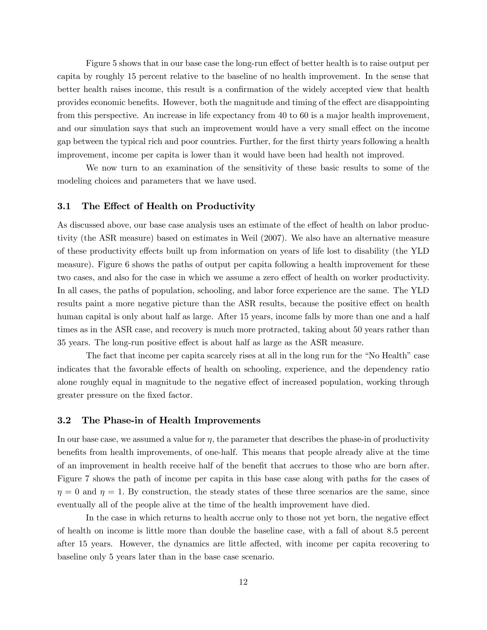Figure 5 shows that in our base case the long-run effect of better health is to raise output per capita by roughly 15 percent relative to the baseline of no health improvement. In the sense that better health raises income, this result is a confirmation of the widely accepted view that health provides economic benefits. However, both the magnitude and timing of the effect are disappointing from this perspective. An increase in life expectancy from 40 to 60 is a major health improvement, and our simulation says that such an improvement would have a very small effect on the income gap between the typical rich and poor countries. Further, for the first thirty years following a health improvement, income per capita is lower than it would have been had health not improved.

We now turn to an examination of the sensitivity of these basic results to some of the modeling choices and parameters that we have used.

#### 3.1 The Effect of Health on Productivity

As discussed above, our base case analysis uses an estimate of the effect of health on labor productivity (the ASR measure) based on estimates in Weil (2007). We also have an alternative measure of these productivity effects built up from information on years of life lost to disability (the YLD measure). Figure 6 shows the paths of output per capita following a health improvement for these two cases, and also for the case in which we assume a zero effect of health on worker productivity. In all cases, the paths of population, schooling, and labor force experience are the same. The YLD results paint a more negative picture than the ASR results, because the positive effect on health human capital is only about half as large. After 15 years, income falls by more than one and a half times as in the ASR case, and recovery is much more protracted, taking about 50 years rather than 35 years. The long-run positive effect is about half as large as the ASR measure.

The fact that income per capita scarcely rises at all in the long run for the "No Health" case indicates that the favorable effects of health on schooling, experience, and the dependency ratio alone roughly equal in magnitude to the negative effect of increased population, working through greater pressure on the fixed factor.

#### 3.2 The Phase-in of Health Improvements

In our base case, we assumed a value for  $\eta$ , the parameter that describes the phase-in of productivity benefits from health improvements, of one-half. This means that people already alive at the time of an improvement in health receive half of the benefit that accrues to those who are born after. Figure 7 shows the path of income per capita in this base case along with paths for the cases of  $\eta = 0$  and  $\eta = 1$ . By construction, the steady states of these three scenarios are the same, since eventually all of the people alive at the time of the health improvement have died.

In the case in which returns to health accrue only to those not yet born, the negative effect of health on income is little more than double the baseline case, with a fall of about 8.5 percent after 15 years. However, the dynamics are little affected, with income per capita recovering to baseline only 5 years later than in the base case scenario.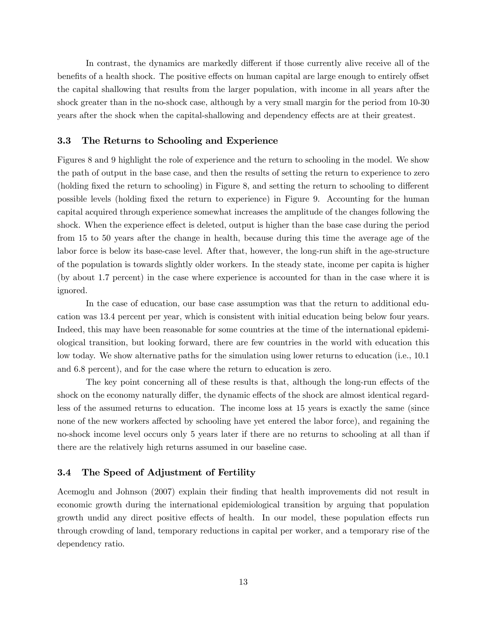In contrast, the dynamics are markedly different if those currently alive receive all of the benefits of a health shock. The positive effects on human capital are large enough to entirely offset the capital shallowing that results from the larger population, with income in all years after the shock greater than in the no-shock case, although by a very small margin for the period from 10-30 years after the shock when the capital-shallowing and dependency effects are at their greatest.

## 3.3 The Returns to Schooling and Experience

Figures 8 and 9 highlight the role of experience and the return to schooling in the model. We show the path of output in the base case, and then the results of setting the return to experience to zero (holding fixed the return to schooling) in Figure 8, and setting the return to schooling to different possible levels (holding fixed the return to experience) in Figure 9. Accounting for the human capital acquired through experience somewhat increases the amplitude of the changes following the shock. When the experience effect is deleted, output is higher than the base case during the period from 15 to 50 years after the change in health, because during this time the average age of the labor force is below its base-case level. After that, however, the long-run shift in the age-structure of the population is towards slightly older workers. In the steady state, income per capita is higher (by about 1.7 percent) in the case where experience is accounted for than in the case where it is ignored.

In the case of education, our base case assumption was that the return to additional education was 13.4 percent per year, which is consistent with initial education being below four years. Indeed, this may have been reasonable for some countries at the time of the international epidemiological transition, but looking forward, there are few countries in the world with education this low today. We show alternative paths for the simulation using lower returns to education (i.e., 10.1 and 6.8 percent), and for the case where the return to education is zero.

The key point concerning all of these results is that, although the long-run effects of the shock on the economy naturally differ, the dynamic effects of the shock are almost identical regardless of the assumed returns to education. The income loss at 15 years is exactly the same (since none of the new workers affected by schooling have yet entered the labor force), and regaining the no-shock income level occurs only 5 years later if there are no returns to schooling at all than if there are the relatively high returns assumed in our baseline case.

### 3.4 The Speed of Adjustment of Fertility

Acemoglu and Johnson (2007) explain their finding that health improvements did not result in economic growth during the international epidemiological transition by arguing that population growth undid any direct positive effects of health. In our model, these population effects run through crowding of land, temporary reductions in capital per worker, and a temporary rise of the dependency ratio.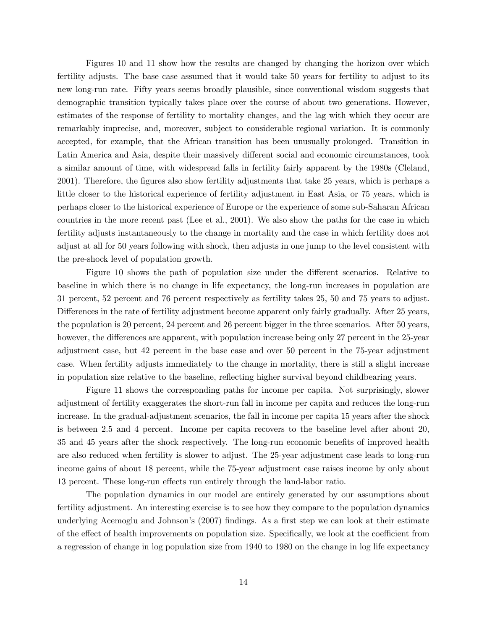Figures 10 and 11 show how the results are changed by changing the horizon over which fertility adjusts. The base case assumed that it would take 50 years for fertility to adjust to its new long-run rate. Fifty years seems broadly plausible, since conventional wisdom suggests that demographic transition typically takes place over the course of about two generations. However, estimates of the response of fertility to mortality changes, and the lag with which they occur are remarkably imprecise, and, moreover, subject to considerable regional variation. It is commonly accepted, for example, that the African transition has been unusually prolonged. Transition in Latin America and Asia, despite their massively different social and economic circumstances, took a similar amount of time, with widespread falls in fertility fairly apparent by the 1980s (Cleland, 2001). Therefore, the figures also show fertility adjustments that take 25 years, which is perhaps a little closer to the historical experience of fertility adjustment in East Asia, or 75 years, which is perhaps closer to the historical experience of Europe or the experience of some sub-Saharan African countries in the more recent past (Lee et al., 2001). We also show the paths for the case in which fertility adjusts instantaneously to the change in mortality and the case in which fertility does not adjust at all for 50 years following with shock, then adjusts in one jump to the level consistent with the pre-shock level of population growth.

Figure 10 shows the path of population size under the different scenarios. Relative to baseline in which there is no change in life expectancy, the long-run increases in population are 31 percent, 52 percent and 76 percent respectively as fertility takes 25, 50 and 75 years to adjust. Differences in the rate of fertility adjustment become apparent only fairly gradually. After 25 years, the population is 20 percent, 24 percent and 26 percent bigger in the three scenarios. After 50 years, however, the differences are apparent, with population increase being only 27 percent in the 25-year adjustment case, but 42 percent in the base case and over 50 percent in the 75-year adjustment case. When fertility adjusts immediately to the change in mortality, there is still a slight increase in population size relative to the baseline, reflecting higher survival beyond childbearing years.

Figure 11 shows the corresponding paths for income per capita. Not surprisingly, slower adjustment of fertility exaggerates the short-run fall in income per capita and reduces the long-run increase. In the gradual-adjustment scenarios, the fall in income per capita 15 years after the shock is between 2.5 and 4 percent. Income per capita recovers to the baseline level after about 20, 35 and 45 years after the shock respectively. The long-run economic benefits of improved health are also reduced when fertility is slower to adjust. The 25-year adjustment case leads to long-run income gains of about 18 percent, while the 75-year adjustment case raises income by only about 13 percent. These long-run effects run entirely through the land-labor ratio.

The population dynamics in our model are entirely generated by our assumptions about fertility adjustment. An interesting exercise is to see how they compare to the population dynamics underlying Acemoglu and Johnson's (2007) findings. As a first step we can look at their estimate of the effect of health improvements on population size. Specifically, we look at the coefficient from a regression of change in log population size from 1940 to 1980 on the change in log life expectancy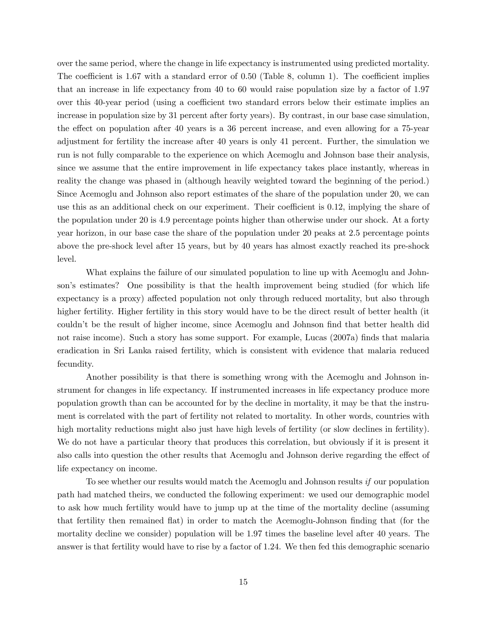over the same period, where the change in life expectancy is instrumented using predicted mortality. The coefficient is 1.67 with a standard error of 0.50 (Table 8, column 1). The coefficient implies that an increase in life expectancy from 40 to 60 would raise population size by a factor of 1.97 over this 40-year period (using a coefficient two standard errors below their estimate implies an increase in population size by 31 percent after forty years). By contrast, in our base case simulation, the effect on population after 40 years is a 36 percent increase, and even allowing for a 75-year adjustment for fertility the increase after 40 years is only 41 percent. Further, the simulation we run is not fully comparable to the experience on which Acemoglu and Johnson base their analysis, since we assume that the entire improvement in life expectancy takes place instantly, whereas in reality the change was phased in (although heavily weighted toward the beginning of the period.) Since Acemoglu and Johnson also report estimates of the share of the population under 20, we can use this as an additional check on our experiment. Their coefficient is 0.12, implying the share of the population under 20 is 4.9 percentage points higher than otherwise under our shock. At a forty year horizon, in our base case the share of the population under 20 peaks at 2.5 percentage points above the pre-shock level after 15 years, but by 40 years has almost exactly reached its pre-shock level.

What explains the failure of our simulated population to line up with Acemoglu and Johnson's estimates? One possibility is that the health improvement being studied (for which life expectancy is a proxy) affected population not only through reduced mortality, but also through higher fertility. Higher fertility in this story would have to be the direct result of better health (it couldn't be the result of higher income, since Acemoglu and Johnson find that better health did not raise income). Such a story has some support. For example, Lucas (2007a) finds that malaria eradication in Sri Lanka raised fertility, which is consistent with evidence that malaria reduced fecundity.

Another possibility is that there is something wrong with the Acemoglu and Johnson instrument for changes in life expectancy. If instrumented increases in life expectancy produce more population growth than can be accounted for by the decline in mortality, it may be that the instrument is correlated with the part of fertility not related to mortality. In other words, countries with high mortality reductions might also just have high levels of fertility (or slow declines in fertility). We do not have a particular theory that produces this correlation, but obviously if it is present it also calls into question the other results that Acemoglu and Johnson derive regarding the effect of life expectancy on income.

To see whether our results would match the Acemoglu and Johnson results if our population path had matched theirs, we conducted the following experiment: we used our demographic model to ask how much fertility would have to jump up at the time of the mortality decline (assuming that fertility then remained flat) in order to match the Acemoglu-Johnson finding that (for the mortality decline we consider) population will be 1.97 times the baseline level after 40 years. The answer is that fertility would have to rise by a factor of 1.24. We then fed this demographic scenario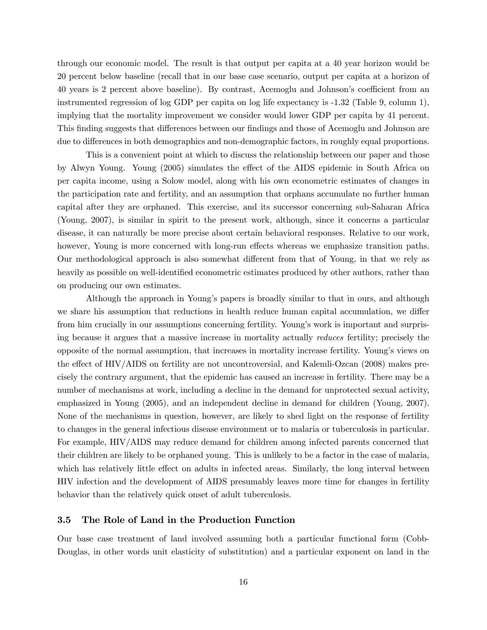through our economic model. The result is that output per capita at a 40 year horizon would be 20 percent below baseline (recall that in our base case scenario, output per capita at a horizon of 40 years is 2 percent above baseline). By contrast, Acemoglu and Johnson's coefficient from an instrumented regression of log GDP per capita on log life expectancy is -1.32 (Table 9, column 1), implying that the mortality improvement we consider would lower GDP per capita by 41 percent. This finding suggests that differences between our findings and those of Acemoglu and Johnson are due to differences in both demographics and non-demographic factors, in roughly equal proportions.

This is a convenient point at which to discuss the relationship between our paper and those by Alwyn Young. Young (2005) simulates the effect of the AIDS epidemic in South Africa on per capita income, using a Solow model, along with his own econometric estimates of changes in the participation rate and fertility, and an assumption that orphans accumulate no further human capital after they are orphaned. This exercise, and its successor concerning sub-Saharan Africa (Young, 2007), is similar in spirit to the present work, although, since it concerns a particular disease, it can naturally be more precise about certain behavioral responses. Relative to our work, however, Young is more concerned with long-run effects whereas we emphasize transition paths. Our methodological approach is also somewhat different from that of Young, in that we rely as heavily as possible on well-identified econometric estimates produced by other authors, rather than on producing our own estimates.

Although the approach in Young's papers is broadly similar to that in ours, and although we share his assumption that reductions in health reduce human capital accumulation, we differ from him crucially in our assumptions concerning fertility. Young's work is important and surprising because it argues that a massive increase in mortality actually reduces fertility; precisely the opposite of the normal assumption, that increases in mortality increase fertility. Young's views on the effect of HIV/AIDS on fertility are not uncontroversial, and Kalemli-Ozcan (2008) makes precisely the contrary argument, that the epidemic has caused an increase in fertility. There may be a number of mechanisms at work, including a decline in the demand for unprotected sexual activity, emphasized in Young (2005), and an independent decline in demand for children (Young, 2007). None of the mechanisms in question, however, are likely to shed light on the response of fertility to changes in the general infectious disease environment or to malaria or tuberculosis in particular. For example, HIV/AIDS may reduce demand for children among infected parents concerned that their children are likely to be orphaned young. This is unlikely to be a factor in the case of malaria, which has relatively little effect on adults in infected areas. Similarly, the long interval between HIV infection and the development of AIDS presumably leaves more time for changes in fertility behavior than the relatively quick onset of adult tuberculosis.

## 3.5 The Role of Land in the Production Function

Our base case treatment of land involved assuming both a particular functional form (Cobb-Douglas, in other words unit elasticity of substitution) and a particular exponent on land in the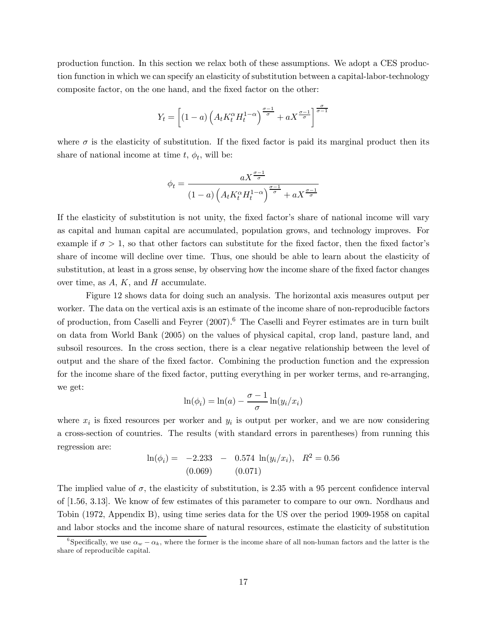production function. In this section we relax both of these assumptions. We adopt a CES production function in which we can specify an elasticity of substitution between a capital-labor-technology composite factor, on the one hand, and the fixed factor on the other:

$$
Y_t = \left[ (1-a) \left( A_t K_t^{\alpha} H_t^{1-\alpha} \right)^{\frac{\sigma-1}{\sigma}} + a X^{\frac{\sigma-1}{\sigma}} \right]^{\frac{\sigma}{\sigma-1}}
$$

where  $\sigma$  is the elasticity of substitution. If the fixed factor is paid its marginal product then its share of national income at time t,  $\phi_t$ , will be:

$$
\phi_t = \frac{aX^{\frac{\sigma-1}{\sigma}}}{(1-a)\left(A_t K_t^{\alpha} H_t^{1-\alpha}\right)^{\frac{\sigma-1}{\sigma}} + aX^{\frac{\sigma-1}{\sigma}}}
$$

If the elasticity of substitution is not unity, the fixed factor's share of national income will vary as capital and human capital are accumulated, population grows, and technology improves. For example if  $\sigma > 1$ , so that other factors can substitute for the fixed factor, then the fixed factor's share of income will decline over time. Thus, one should be able to learn about the elasticity of substitution, at least in a gross sense, by observing how the income share of the fixed factor changes over time, as  $A, K$ , and  $H$  accumulate.

Figure 12 shows data for doing such an analysis. The horizontal axis measures output per worker. The data on the vertical axis is an estimate of the income share of non-reproducible factors of production, from Caselli and Feyrer (2007).6 The Caselli and Feyrer estimates are in turn built on data from World Bank (2005) on the values of physical capital, crop land, pasture land, and subsoil resources. In the cross section, there is a clear negative relationship between the level of output and the share of the fixed factor. Combining the production function and the expression for the income share of the fixed factor, putting everything in per worker terms, and re-arranging, we get:

$$
\ln(\phi_i) = \ln(a) - \frac{\sigma - 1}{\sigma} \ln(y_i/x_i)
$$

where  $x_i$  is fixed resources per worker and  $y_i$  is output per worker, and we are now considering a cross-section of countries. The results (with standard errors in parentheses) from running this regression are:

$$
\ln(\phi_i) = -2.233 - 0.574 \ln(y_i/x_i), R^2 = 0.56
$$
  
(0.069) (0.071)

The implied value of  $\sigma$ , the elasticity of substitution, is 2.35 with a 95 percent confidence interval of [1.56, 3.13]. We know of few estimates of this parameter to compare to our own. Nordhaus and Tobin (1972, Appendix B), using time series data for the US over the period 1909-1958 on capital and labor stocks and the income share of natural resources, estimate the elasticity of substitution

<sup>&</sup>lt;sup>6</sup>Specifically, we use  $\alpha_w - \alpha_k$ , where the former is the income share of all non-human factors and the latter is the share of reproducible capital.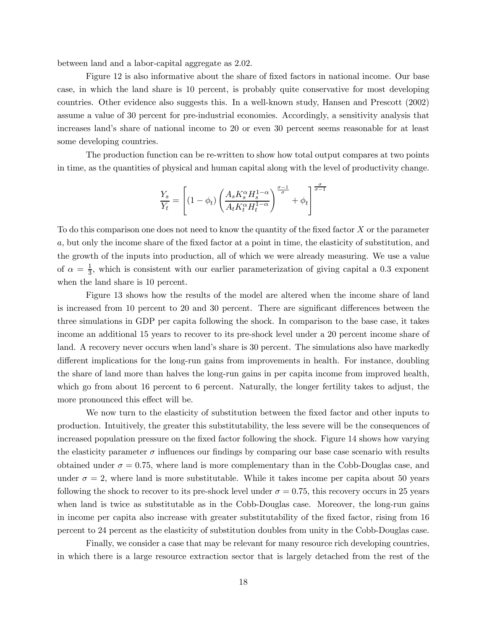between land and a labor-capital aggregate as 2.02.

Figure 12 is also informative about the share of fixed factors in national income. Our base case, in which the land share is 10 percent, is probably quite conservative for most developing countries. Other evidence also suggests this. In a well-known study, Hansen and Prescott (2002) assume a value of 30 percent for pre-industrial economies. Accordingly, a sensitivity analysis that increases land's share of national income to 20 or even 30 percent seems reasonable for at least some developing countries.

The production function can be re-written to show how total output compares at two points in time, as the quantities of physical and human capital along with the level of productivity change.

$$
\frac{Y_s}{Y_t} = \left[ (1-\phi_t)\left(\frac{A_s K_s^\alpha H_s^{1-\alpha}}{A_t K_t^\alpha H_t^{1-\alpha}}\right)^{\frac{\sigma-1}{\sigma}} + \phi_t \right]^{\frac{\sigma}{\sigma-1}}
$$

To do this comparison one does not need to know the quantity of the fixed factor  $X$  or the parameter a, but only the income share of the fixed factor at a point in time, the elasticity of substitution, and the growth of the inputs into production, all of which we were already measuring. We use a value of  $\alpha = \frac{1}{3}$ , which is consistent with our earlier parameterization of giving capital a 0.3 exponent when the land share is 10 percent.

Figure 13 shows how the results of the model are altered when the income share of land is increased from 10 percent to 20 and 30 percent. There are significant differences between the three simulations in GDP per capita following the shock. In comparison to the base case, it takes income an additional 15 years to recover to its pre-shock level under a 20 percent income share of land. A recovery never occurs when land's share is 30 percent. The simulations also have markedly different implications for the long-run gains from improvements in health. For instance, doubling the share of land more than halves the long-run gains in per capita income from improved health, which go from about 16 percent to 6 percent. Naturally, the longer fertility takes to adjust, the more pronounced this effect will be.

We now turn to the elasticity of substitution between the fixed factor and other inputs to production. Intuitively, the greater this substitutability, the less severe will be the consequences of increased population pressure on the fixed factor following the shock. Figure 14 shows how varying the elasticity parameter  $\sigma$  influences our findings by comparing our base case scenario with results obtained under  $\sigma = 0.75$ , where land is more complementary than in the Cobb-Douglas case, and under  $\sigma = 2$ , where land is more substitutable. While it takes income per capita about 50 years following the shock to recover to its pre-shock level under  $\sigma = 0.75$ , this recovery occurs in 25 years when land is twice as substitutable as in the Cobb-Douglas case. Moreover, the long-run gains in income per capita also increase with greater substitutability of the fixed factor, rising from 16 percent to 24 percent as the elasticity of substitution doubles from unity in the Cobb-Douglas case.

Finally, we consider a case that may be relevant for many resource rich developing countries, in which there is a large resource extraction sector that is largely detached from the rest of the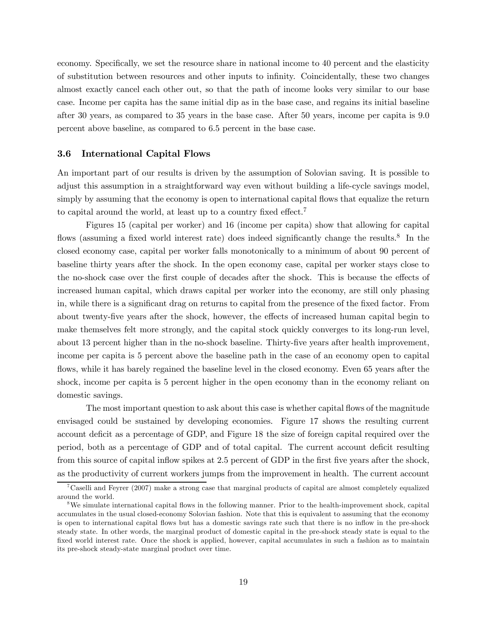economy. Specifically, we set the resource share in national income to 40 percent and the elasticity of substitution between resources and other inputs to infinity. Coincidentally, these two changes almost exactly cancel each other out, so that the path of income looks very similar to our base case. Income per capita has the same initial dip as in the base case, and regains its initial baseline after 30 years, as compared to 35 years in the base case. After 50 years, income per capita is 9.0 percent above baseline, as compared to 6.5 percent in the base case.

#### 3.6 International Capital Flows

An important part of our results is driven by the assumption of Solovian saving. It is possible to adjust this assumption in a straightforward way even without building a life-cycle savings model, simply by assuming that the economy is open to international capital flows that equalize the return to capital around the world, at least up to a country fixed effect.<sup>7</sup>

Figures 15 (capital per worker) and 16 (income per capita) show that allowing for capital flows (assuming a fixed world interest rate) does indeed significantly change the results.<sup>8</sup> In the closed economy case, capital per worker falls monotonically to a minimum of about 90 percent of baseline thirty years after the shock. In the open economy case, capital per worker stays close to the no-shock case over the first couple of decades after the shock. This is because the effects of increased human capital, which draws capital per worker into the economy, are still only phasing in, while there is a significant drag on returns to capital from the presence of the fixed factor. From about twenty-five years after the shock, however, the effects of increased human capital begin to make themselves felt more strongly, and the capital stock quickly converges to its long-run level, about 13 percent higher than in the no-shock baseline. Thirty-five years after health improvement, income per capita is 5 percent above the baseline path in the case of an economy open to capital flows, while it has barely regained the baseline level in the closed economy. Even 65 years after the shock, income per capita is 5 percent higher in the open economy than in the economy reliant on domestic savings.

The most important question to ask about this case is whether capital flows of the magnitude envisaged could be sustained by developing economies. Figure 17 shows the resulting current account deficit as a percentage of GDP, and Figure 18 the size of foreign capital required over the period, both as a percentage of GDP and of total capital. The current account deficit resulting from this source of capital inflow spikes at 2.5 percent of GDP in the first five years after the shock, as the productivity of current workers jumps from the improvement in health. The current account

<sup>7</sup>Caselli and Feyrer (2007) make a strong case that marginal products of capital are almost completely equalized around the world.

<sup>8</sup>We simulate international capital flows in the following manner. Prior to the health-improvement shock, capital accumulates in the usual closed-economy Solovian fashion. Note that this is equivalent to assuming that the economy is open to international capital flows but has a domestic savings rate such that there is no inflow in the pre-shock steady state. In other words, the marginal product of domestic capital in the pre-shock steady state is equal to the fixed world interest rate. Once the shock is applied, however, capital accumulates in such a fashion as to maintain its pre-shock steady-state marginal product over time.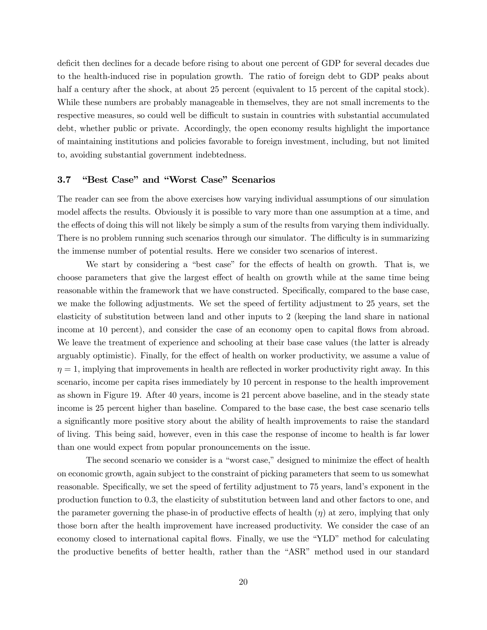deficit then declines for a decade before rising to about one percent of GDP for several decades due to the health-induced rise in population growth. The ratio of foreign debt to GDP peaks about half a century after the shock, at about 25 percent (equivalent to 15 percent of the capital stock). While these numbers are probably manageable in themselves, they are not small increments to the respective measures, so could well be difficult to sustain in countries with substantial accumulated debt, whether public or private. Accordingly, the open economy results highlight the importance of maintaining institutions and policies favorable to foreign investment, including, but not limited to, avoiding substantial government indebtedness.

## 3.7 "Best Case" and "Worst Case" Scenarios

The reader can see from the above exercises how varying individual assumptions of our simulation model affects the results. Obviously it is possible to vary more than one assumption at a time, and the effects of doing this will not likely be simply a sum of the results from varying them individually. There is no problem running such scenarios through our simulator. The difficulty is in summarizing the immense number of potential results. Here we consider two scenarios of interest.

We start by considering a "best case" for the effects of health on growth. That is, we choose parameters that give the largest effect of health on growth while at the same time being reasonable within the framework that we have constructed. Specifically, compared to the base case, we make the following adjustments. We set the speed of fertility adjustment to 25 years, set the elasticity of substitution between land and other inputs to 2 (keeping the land share in national income at 10 percent), and consider the case of an economy open to capital flows from abroad. We leave the treatment of experience and schooling at their base case values (the latter is already arguably optimistic). Finally, for the effect of health on worker productivity, we assume a value of  $\eta = 1$ , implying that improvements in health are reflected in worker productivity right away. In this scenario, income per capita rises immediately by 10 percent in response to the health improvement as shown in Figure 19. After 40 years, income is 21 percent above baseline, and in the steady state income is 25 percent higher than baseline. Compared to the base case, the best case scenario tells a significantly more positive story about the ability of health improvements to raise the standard of living. This being said, however, even in this case the response of income to health is far lower than one would expect from popular pronouncements on the issue.

The second scenario we consider is a "worst case," designed to minimize the effect of health on economic growth, again subject to the constraint of picking parameters that seem to us somewhat reasonable. Specifically, we set the speed of fertility adjustment to 75 years, land's exponent in the production function to 0.3, the elasticity of substitution between land and other factors to one, and the parameter governing the phase-in of productive effects of health  $(\eta)$  at zero, implying that only those born after the health improvement have increased productivity. We consider the case of an economy closed to international capital flows. Finally, we use the "YLD" method for calculating the productive benefits of better health, rather than the "ASR" method used in our standard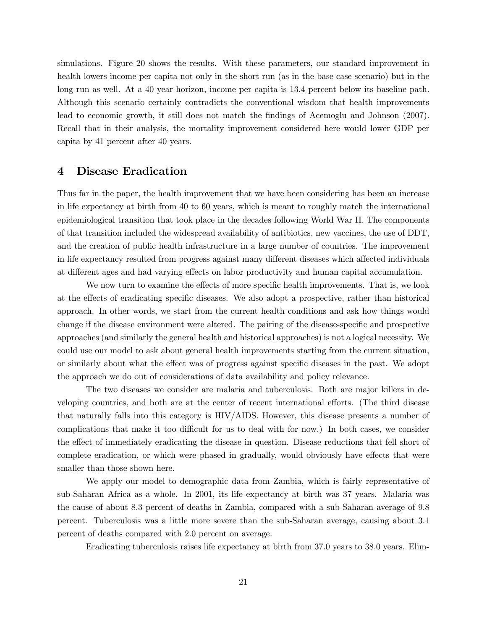simulations. Figure 20 shows the results. With these parameters, our standard improvement in health lowers income per capita not only in the short run (as in the base case scenario) but in the long run as well. At a 40 year horizon, income per capita is 13.4 percent below its baseline path. Although this scenario certainly contradicts the conventional wisdom that health improvements lead to economic growth, it still does not match the findings of Acemoglu and Johnson (2007). Recall that in their analysis, the mortality improvement considered here would lower GDP per capita by 41 percent after 40 years.

## 4 Disease Eradication

Thus far in the paper, the health improvement that we have been considering has been an increase in life expectancy at birth from 40 to 60 years, which is meant to roughly match the international epidemiological transition that took place in the decades following World War II. The components of that transition included the widespread availability of antibiotics, new vaccines, the use of DDT, and the creation of public health infrastructure in a large number of countries. The improvement in life expectancy resulted from progress against many different diseases which affected individuals at different ages and had varying effects on labor productivity and human capital accumulation.

We now turn to examine the effects of more specific health improvements. That is, we look at the effects of eradicating specific diseases. We also adopt a prospective, rather than historical approach. In other words, we start from the current health conditions and ask how things would change if the disease environment were altered. The pairing of the disease-specific and prospective approaches (and similarly the general health and historical approaches) is not a logical necessity. We could use our model to ask about general health improvements starting from the current situation, or similarly about what the effect was of progress against specific diseases in the past. We adopt the approach we do out of considerations of data availability and policy relevance.

The two diseases we consider are malaria and tuberculosis. Both are major killers in developing countries, and both are at the center of recent international efforts. (The third disease that naturally falls into this category is HIV/AIDS. However, this disease presents a number of complications that make it too difficult for us to deal with for now.) In both cases, we consider the effect of immediately eradicating the disease in question. Disease reductions that fell short of complete eradication, or which were phased in gradually, would obviously have effects that were smaller than those shown here.

We apply our model to demographic data from Zambia, which is fairly representative of sub-Saharan Africa as a whole. In 2001, its life expectancy at birth was 37 years. Malaria was the cause of about 8.3 percent of deaths in Zambia, compared with a sub-Saharan average of 9.8 percent. Tuberculosis was a little more severe than the sub-Saharan average, causing about 3.1 percent of deaths compared with 2.0 percent on average.

Eradicating tuberculosis raises life expectancy at birth from 37.0 years to 38.0 years. Elim-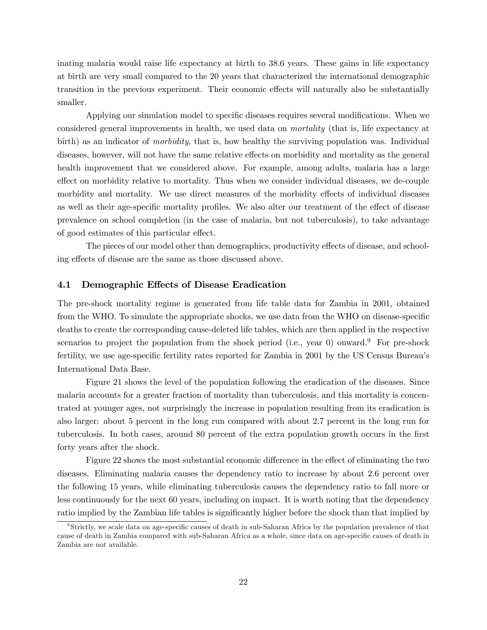inating malaria would raise life expectancy at birth to 38.6 years. These gains in life expectancy at birth are very small compared to the 20 years that characterized the international demographic transition in the previous experiment. Their economic effects will naturally also be substantially smaller.

Applying our simulation model to specific diseases requires several modifications. When we considered general improvements in health, we used data on mortality (that is, life expectancy at birth) as an indicator of *morbidity*, that is, how healthy the surviving population was. Individual diseases, however, will not have the same relative effects on morbidity and mortality as the general health improvement that we considered above. For example, among adults, malaria has a large effect on morbidity relative to mortality. Thus when we consider individual diseases, we de-couple morbidity and mortality. We use direct measures of the morbidity effects of individual diseases as well as their age-specific mortality profiles. We also alter our treatment of the effect of disease prevalence on school completion (in the case of malaria, but not tuberculosis), to take advantage of good estimates of this particular effect.

The pieces of our model other than demographics, productivity effects of disease, and schooling effects of disease are the same as those discussed above.

## 4.1 Demographic Effects of Disease Eradication

The pre-shock mortality regime is generated from life table data for Zambia in 2001, obtained from the WHO. To simulate the appropriate shocks, we use data from the WHO on disease-specific deaths to create the corresponding cause-deleted life tables, which are then applied in the respective scenarios to project the population from the shock period (i.e., year 0) onward.<sup>9</sup> For pre-shock fertility, we use age-specific fertility rates reported for Zambia in 2001 by the US Census Bureau's International Data Base.

Figure 21 shows the level of the population following the eradication of the diseases. Since malaria accounts for a greater fraction of mortality than tuberculosis, and this mortality is concentrated at younger ages, not surprisingly the increase in population resulting from its eradication is also larger: about 5 percent in the long run compared with about 2.7 percent in the long run for tuberculosis. In both cases, around 80 percent of the extra population growth occurs in the first forty years after the shock.

Figure 22 shows the most substantial economic difference in the effect of eliminating the two diseases. Eliminating malaria causes the dependency ratio to increase by about 2.6 percent over the following 15 years, while eliminating tuberculosis causes the dependency ratio to fall more or less continuously for the next 60 years, including on impact. It is worth noting that the dependency ratio implied by the Zambian life tables is significantly higher before the shock than that implied by

<sup>9</sup>Strictly, we scale data on age-specific causes of death in sub-Saharan Africa by the population prevalence of that cause of death in Zambia compared with sub-Saharan Africa as a whole, since data on age-specific causes of death in Zambia are not available.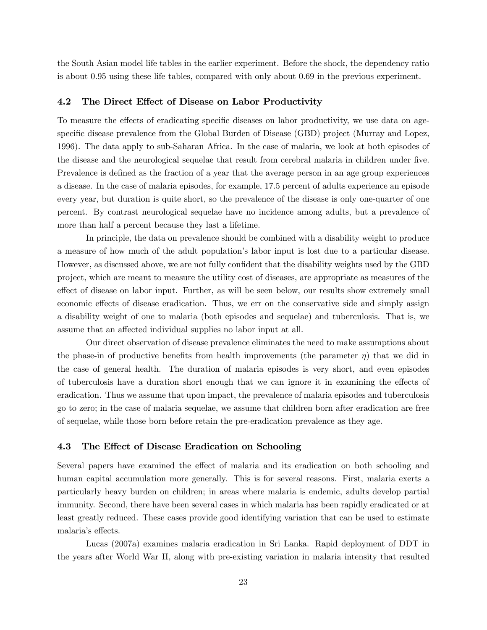the South Asian model life tables in the earlier experiment. Before the shock, the dependency ratio is about 0.95 using these life tables, compared with only about 0.69 in the previous experiment.

## 4.2 The Direct Effect of Disease on Labor Productivity

To measure the effects of eradicating specific diseases on labor productivity, we use data on agespecific disease prevalence from the Global Burden of Disease (GBD) project (Murray and Lopez, 1996). The data apply to sub-Saharan Africa. In the case of malaria, we look at both episodes of the disease and the neurological sequelae that result from cerebral malaria in children under five. Prevalence is defined as the fraction of a year that the average person in an age group experiences a disease. In the case of malaria episodes, for example, 17.5 percent of adults experience an episode every year, but duration is quite short, so the prevalence of the disease is only one-quarter of one percent. By contrast neurological sequelae have no incidence among adults, but a prevalence of more than half a percent because they last a lifetime.

In principle, the data on prevalence should be combined with a disability weight to produce a measure of how much of the adult population's labor input is lost due to a particular disease. However, as discussed above, we are not fully confident that the disability weights used by the GBD project, which are meant to measure the utility cost of diseases, are appropriate as measures of the effect of disease on labor input. Further, as will be seen below, our results show extremely small economic effects of disease eradication. Thus, we err on the conservative side and simply assign a disability weight of one to malaria (both episodes and sequelae) and tuberculosis. That is, we assume that an affected individual supplies no labor input at all.

Our direct observation of disease prevalence eliminates the need to make assumptions about the phase-in of productive benefits from health improvements (the parameter  $\eta$ ) that we did in the case of general health. The duration of malaria episodes is very short, and even episodes of tuberculosis have a duration short enough that we can ignore it in examining the effects of eradication. Thus we assume that upon impact, the prevalence of malaria episodes and tuberculosis go to zero; in the case of malaria sequelae, we assume that children born after eradication are free of sequelae, while those born before retain the pre-eradication prevalence as they age.

#### 4.3 The Effect of Disease Eradication on Schooling

Several papers have examined the effect of malaria and its eradication on both schooling and human capital accumulation more generally. This is for several reasons. First, malaria exerts a particularly heavy burden on children; in areas where malaria is endemic, adults develop partial immunity. Second, there have been several cases in which malaria has been rapidly eradicated or at least greatly reduced. These cases provide good identifying variation that can be used to estimate malaria's effects.

Lucas (2007a) examines malaria eradication in Sri Lanka. Rapid deployment of DDT in the years after World War II, along with pre-existing variation in malaria intensity that resulted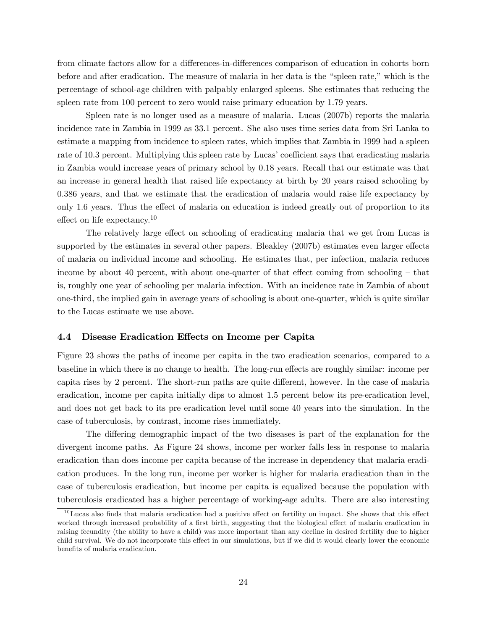from climate factors allow for a differences-in-differences comparison of education in cohorts born before and after eradication. The measure of malaria in her data is the "spleen rate," which is the percentage of school-age children with palpably enlarged spleens. She estimates that reducing the spleen rate from 100 percent to zero would raise primary education by 1.79 years.

Spleen rate is no longer used as a measure of malaria. Lucas (2007b) reports the malaria incidence rate in Zambia in 1999 as 33.1 percent. She also uses time series data from Sri Lanka to estimate a mapping from incidence to spleen rates, which implies that Zambia in 1999 had a spleen rate of 10.3 percent. Multiplying this spleen rate by Lucas' coefficient says that eradicating malaria in Zambia would increase years of primary school by 0.18 years. Recall that our estimate was that an increase in general health that raised life expectancy at birth by 20 years raised schooling by 0.386 years, and that we estimate that the eradication of malaria would raise life expectancy by only 1.6 years. Thus the effect of malaria on education is indeed greatly out of proportion to its effect on life expectancy.10

The relatively large effect on schooling of eradicating malaria that we get from Lucas is supported by the estimates in several other papers. Bleakley (2007b) estimates even larger effects of malaria on individual income and schooling. He estimates that, per infection, malaria reduces income by about 40 percent, with about one-quarter of that effect coming from schooling — that is, roughly one year of schooling per malaria infection. With an incidence rate in Zambia of about one-third, the implied gain in average years of schooling is about one-quarter, which is quite similar to the Lucas estimate we use above.

## 4.4 Disease Eradication Effects on Income per Capita

Figure 23 shows the paths of income per capita in the two eradication scenarios, compared to a baseline in which there is no change to health. The long-run effects are roughly similar: income per capita rises by 2 percent. The short-run paths are quite different, however. In the case of malaria eradication, income per capita initially dips to almost 1.5 percent below its pre-eradication level, and does not get back to its pre eradication level until some 40 years into the simulation. In the case of tuberculosis, by contrast, income rises immediately.

The differing demographic impact of the two diseases is part of the explanation for the divergent income paths. As Figure 24 shows, income per worker falls less in response to malaria eradication than does income per capita because of the increase in dependency that malaria eradication produces. In the long run, income per worker is higher for malaria eradication than in the case of tuberculosis eradication, but income per capita is equalized because the population with tuberculosis eradicated has a higher percentage of working-age adults. There are also interesting

 $10$ Lucas also finds that malaria eradication had a positive effect on fertility on impact. She shows that this effect worked through increased probability of a first birth, suggesting that the biological effect of malaria eradication in raising fecundity (the ability to have a child) was more important than any decline in desired fertility due to higher child survival. We do not incorporate this effect in our simulations, but if we did it would clearly lower the economic benefits of malaria eradication.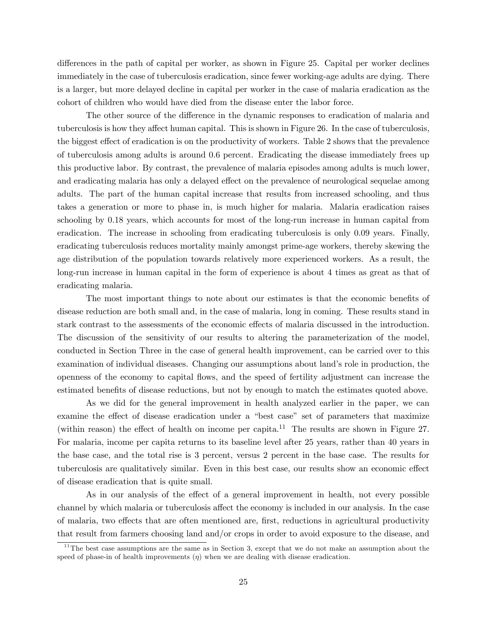differences in the path of capital per worker, as shown in Figure 25. Capital per worker declines immediately in the case of tuberculosis eradication, since fewer working-age adults are dying. There is a larger, but more delayed decline in capital per worker in the case of malaria eradication as the cohort of children who would have died from the disease enter the labor force.

The other source of the difference in the dynamic responses to eradication of malaria and tuberculosis is how they affect human capital. This is shown in Figure 26. In the case of tuberculosis, the biggest effect of eradication is on the productivity of workers. Table 2 shows that the prevalence of tuberculosis among adults is around 0.6 percent. Eradicating the disease immediately frees up this productive labor. By contrast, the prevalence of malaria episodes among adults is much lower, and eradicating malaria has only a delayed effect on the prevalence of neurological sequelae among adults. The part of the human capital increase that results from increased schooling, and thus takes a generation or more to phase in, is much higher for malaria. Malaria eradication raises schooling by 0.18 years, which accounts for most of the long-run increase in human capital from eradication. The increase in schooling from eradicating tuberculosis is only 0.09 years. Finally, eradicating tuberculosis reduces mortality mainly amongst prime-age workers, thereby skewing the age distribution of the population towards relatively more experienced workers. As a result, the long-run increase in human capital in the form of experience is about 4 times as great as that of eradicating malaria.

The most important things to note about our estimates is that the economic benefits of disease reduction are both small and, in the case of malaria, long in coming. These results stand in stark contrast to the assessments of the economic effects of malaria discussed in the introduction. The discussion of the sensitivity of our results to altering the parameterization of the model, conducted in Section Three in the case of general health improvement, can be carried over to this examination of individual diseases. Changing our assumptions about land's role in production, the openness of the economy to capital flows, and the speed of fertility adjustment can increase the estimated benefits of disease reductions, but not by enough to match the estimates quoted above.

As we did for the general improvement in health analyzed earlier in the paper, we can examine the effect of disease eradication under a "best case" set of parameters that maximize (within reason) the effect of health on income per capita.<sup>11</sup> The results are shown in Figure 27. For malaria, income per capita returns to its baseline level after 25 years, rather than 40 years in the base case, and the total rise is 3 percent, versus 2 percent in the base case. The results for tuberculosis are qualitatively similar. Even in this best case, our results show an economic effect of disease eradication that is quite small.

As in our analysis of the effect of a general improvement in health, not every possible channel by which malaria or tuberculosis affect the economy is included in our analysis. In the case of malaria, two effects that are often mentioned are, first, reductions in agricultural productivity that result from farmers choosing land and/or crops in order to avoid exposure to the disease, and

 $11$ The best case assumptions are the same as in Section 3, except that we do not make an assumption about the speed of phase-in of health improvements  $(\eta)$  when we are dealing with disease eradication.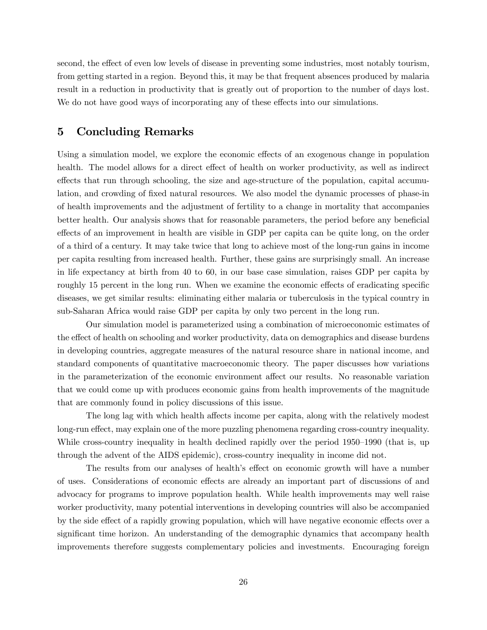second, the effect of even low levels of disease in preventing some industries, most notably tourism, from getting started in a region. Beyond this, it may be that frequent absences produced by malaria result in a reduction in productivity that is greatly out of proportion to the number of days lost. We do not have good ways of incorporating any of these effects into our simulations.

# 5 Concluding Remarks

Using a simulation model, we explore the economic effects of an exogenous change in population health. The model allows for a direct effect of health on worker productivity, as well as indirect effects that run through schooling, the size and age-structure of the population, capital accumulation, and crowding of fixed natural resources. We also model the dynamic processes of phase-in of health improvements and the adjustment of fertility to a change in mortality that accompanies better health. Our analysis shows that for reasonable parameters, the period before any beneficial effects of an improvement in health are visible in GDP per capita can be quite long, on the order of a third of a century. It may take twice that long to achieve most of the long-run gains in income per capita resulting from increased health. Further, these gains are surprisingly small. An increase in life expectancy at birth from 40 to 60, in our base case simulation, raises GDP per capita by roughly 15 percent in the long run. When we examine the economic effects of eradicating specific diseases, we get similar results: eliminating either malaria or tuberculosis in the typical country in sub-Saharan Africa would raise GDP per capita by only two percent in the long run.

Our simulation model is parameterized using a combination of microeconomic estimates of the effect of health on schooling and worker productivity, data on demographics and disease burdens in developing countries, aggregate measures of the natural resource share in national income, and standard components of quantitative macroeconomic theory. The paper discusses how variations in the parameterization of the economic environment affect our results. No reasonable variation that we could come up with produces economic gains from health improvements of the magnitude that are commonly found in policy discussions of this issue.

The long lag with which health affects income per capita, along with the relatively modest long-run effect, may explain one of the more puzzling phenomena regarding cross-country inequality. While cross-country inequality in health declined rapidly over the period 1950—1990 (that is, up through the advent of the AIDS epidemic), cross-country inequality in income did not.

The results from our analyses of health's effect on economic growth will have a number of uses. Considerations of economic effects are already an important part of discussions of and advocacy for programs to improve population health. While health improvements may well raise worker productivity, many potential interventions in developing countries will also be accompanied by the side effect of a rapidly growing population, which will have negative economic effects over a significant time horizon. An understanding of the demographic dynamics that accompany health improvements therefore suggests complementary policies and investments. Encouraging foreign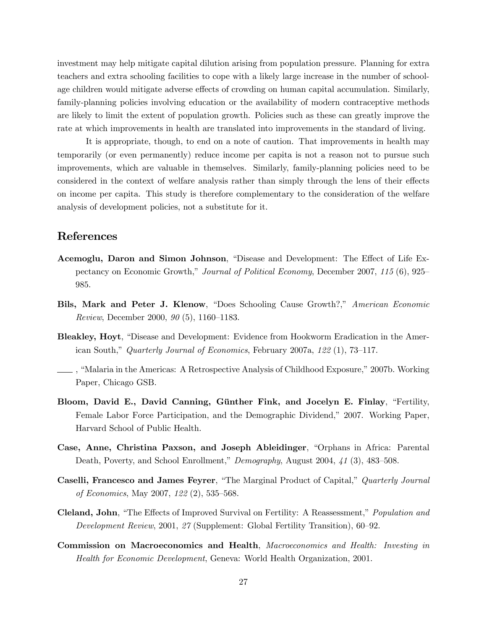investment may help mitigate capital dilution arising from population pressure. Planning for extra teachers and extra schooling facilities to cope with a likely large increase in the number of schoolage children would mitigate adverse effects of crowding on human capital accumulation. Similarly, family-planning policies involving education or the availability of modern contraceptive methods are likely to limit the extent of population growth. Policies such as these can greatly improve the rate at which improvements in health are translated into improvements in the standard of living.

It is appropriate, though, to end on a note of caution. That improvements in health may temporarily (or even permanently) reduce income per capita is not a reason not to pursue such improvements, which are valuable in themselves. Similarly, family-planning policies need to be considered in the context of welfare analysis rather than simply through the lens of their effects on income per capita. This study is therefore complementary to the consideration of the welfare analysis of development policies, not a substitute for it.

# References

- Acemoglu, Daron and Simon Johnson, "Disease and Development: The Effect of Life Expectancy on Economic Growth," Journal of Political Economy, December 2007, 115 (6), 925— 985.
- Bils, Mark and Peter J. Klenow, "Does Schooling Cause Growth?," American Economic Review, December 2000, 90 (5), 1160—1183.
- Bleakley, Hoyt, "Disease and Development: Evidence from Hookworm Eradication in the American South," Quarterly Journal of Economics, February 2007a, 122 (1), 73—117.
- , "Malaria in the Americas: A Retrospective Analysis of Childhood Exposure," 2007b. Working Paper, Chicago GSB.
- Bloom, David E., David Canning, Günther Fink, and Jocelyn E. Finlay, "Fertility, Female Labor Force Participation, and the Demographic Dividend," 2007. Working Paper, Harvard School of Public Health.
- Case, Anne, Christina Paxson, and Joseph Ableidinger, "Orphans in Africa: Parental Death, Poverty, and School Enrollment," Demography, August 2004, 41 (3), 483—508.
- Caselli, Francesco and James Feyrer, "The Marginal Product of Capital," Quarterly Journal of Economics, May 2007, 122 (2), 535—568.
- Cleland, John, "The Effects of Improved Survival on Fertility: A Reassessment," Population and Development Review, 2001, 27 (Supplement: Global Fertility Transition), 60—92.
- Commission on Macroeconomics and Health, Macroeconomics and Health: Investing in Health for Economic Development, Geneva: World Health Organization, 2001.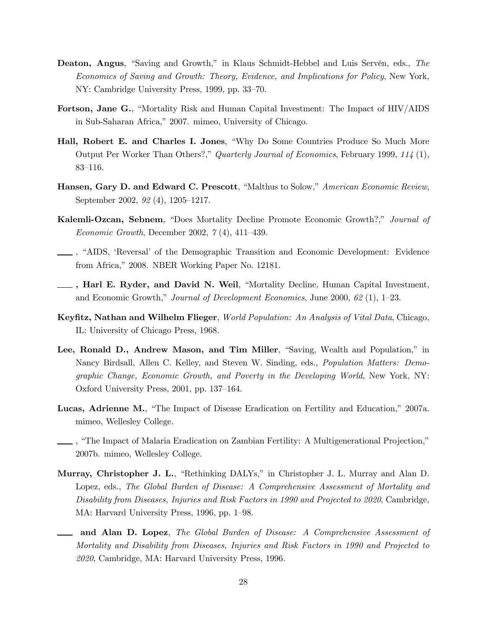- Deaton, Angus, "Saving and Growth," in Klaus Schmidt-Hebbel and Luis Servén, eds., The Economics of Saving and Growth: Theory, Evidence, and Implications for Policy, New York, NY: Cambridge University Press, 1999, pp. 33—70.
- Fortson, Jane G., "Mortality Risk and Human Capital Investment: The Impact of HIV/AIDS in Sub-Saharan Africa," 2007. mimeo, University of Chicago.
- Hall, Robert E. and Charles I. Jones, "Why Do Some Countries Produce So Much More Output Per Worker Than Others?," Quarterly Journal of Economics, February 1999, 114 (1), 83—116.
- Hansen, Gary D. and Edward C. Prescott, "Malthus to Solow," American Economic Review, September 2002, 92 (4), 1205—1217.
- Kalemli-Ozcan, Sebnem, "Does Mortality Decline Promote Economic Growth?," Journal of Economic Growth, December 2002, 7 (4), 411—439.
- , "AIDS, 'Reversal' of the Demographic Transition and Economic Development: Evidence from Africa," 2008. NBER Working Paper No. 12181.
- , Harl E. Ryder, and David N. Weil, "Mortality Decline, Human Capital Investment, and Economic Growth," Journal of Development Economics, June 2000, 62 (1), 1—23.
- Keyfitz, Nathan and Wilhelm Flieger, World Population: An Analysis of Vital Data, Chicago, IL: University of Chicago Press, 1968.
- Lee, Ronald D., Andrew Mason, and Tim Miller, "Saving, Wealth and Population," in Nancy Birdsall, Allen C. Kelley, and Steven W. Sinding, eds., Population Matters: Demographic Change, Economic Growth, and Poverty in the Developing World, New York, NY: Oxford University Press, 2001, pp. 137—164.
- Lucas, Adrienne M., "The Impact of Disease Eradication on Fertility and Education," 2007a. mimeo, Wellesley College.
- , "The Impact of Malaria Eradication on Zambian Fertility: A Multigenerational Projection," 2007b. mimeo, Wellesley College.
- Murray, Christopher J. L., "Rethinking DALYs," in Christopher J. L. Murray and Alan D. Lopez, eds., The Global Burden of Disease: A Comprehensive Assessment of Mortality and Disability from Diseases, Injuries and Risk Factors in 1990 and Projected to 2020, Cambridge, MA: Harvard University Press, 1996, pp. 1—98.
- and Alan D. Lopez, The Global Burden of Disease: A Comprehensive Assessment of Mortality and Disability from Diseases, Injuries and Risk Factors in 1990 and Projected to 2020, Cambridge, MA: Harvard University Press, 1996.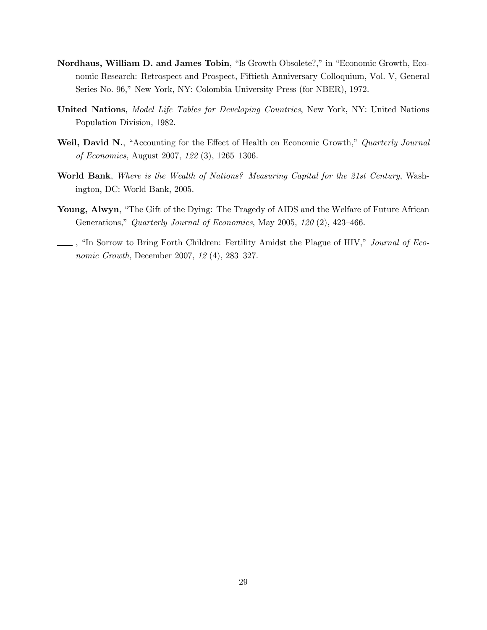- Nordhaus, William D. and James Tobin, "Is Growth Obsolete?," in "Economic Growth, Economic Research: Retrospect and Prospect, Fiftieth Anniversary Colloquium, Vol. V, General Series No. 96," New York, NY: Colombia University Press (for NBER), 1972.
- United Nations, Model Life Tables for Developing Countries, New York, NY: United Nations Population Division, 1982.
- Weil, David N., "Accounting for the Effect of Health on Economic Growth," Quarterly Journal of Economics, August 2007, 122 (3), 1265—1306.
- World Bank, Where is the Wealth of Nations? Measuring Capital for the 21st Century, Washington, DC: World Bank, 2005.
- Young, Alwyn, "The Gift of the Dying: The Tragedy of AIDS and the Welfare of Future African Generations," Quarterly Journal of Economics, May 2005, 120 (2), 423—466.
- , "In Sorrow to Bring Forth Children: Fertility Amidst the Plague of HIV," Journal of Economic Growth, December 2007, 12 (4), 283—327.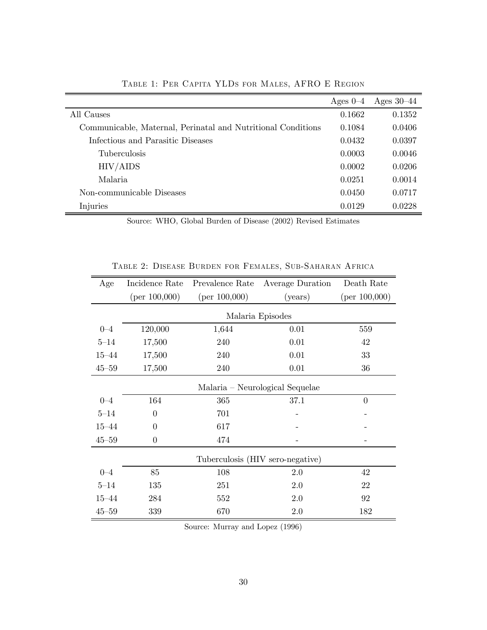|                                                              | Ages $0-4$ | Ages $30-44$ |
|--------------------------------------------------------------|------------|--------------|
| All Causes                                                   | 0.1662     | 0.1352       |
| Communicable, Maternal, Perinatal and Nutritional Conditions | 0.1084     | 0.0406       |
| Infectious and Parasitic Diseases                            | 0.0432     | 0.0397       |
| <b>Tuberculosis</b>                                          | 0.0003     | 0.0046       |
| HIV/AIDS                                                     | 0.0002     | 0.0206       |
| Malaria                                                      | 0.0251     | 0.0014       |
| Non-communicable Diseases                                    | 0.0450     | 0.0717       |
| Injuries                                                     | 0.0129     | 0.0228       |

Table 1: Per Capita YLDs for Males, AFRO E Region

Source: WHO, Global Burden of Disease (2002) Revised Estimates

| Age       | Incidence Rate                   | Prevalence Rate | Average Duration | Death Rate    |  |  |
|-----------|----------------------------------|-----------------|------------------|---------------|--|--|
|           | (per 100,000)                    | (per 100,000)   | (years)          | (per 100,000) |  |  |
|           | Malaria Episodes                 |                 |                  |               |  |  |
| $0 - 4$   | 120,000                          | 1,644           | 0.01             | 559           |  |  |
| $5 - 14$  | 17,500                           | 240             | 0.01             | 42            |  |  |
| $15 - 44$ | 17,500                           | 240             | 0.01             | 33            |  |  |
| $45 - 59$ | 17,500                           | 240             | 0.01             | 36            |  |  |
|           | Malaria – Neurological Sequelae  |                 |                  |               |  |  |
| $0 - 4$   | 164                              | 365             | 37.1             | $\theta$      |  |  |
| $5 - 14$  | $\theta$                         | 701             |                  |               |  |  |
| $15 - 44$ | $\Omega$                         | 617             |                  |               |  |  |
| $45 - 59$ | $\Omega$                         | 474             |                  |               |  |  |
|           | Tuberculosis (HIV sero-negative) |                 |                  |               |  |  |
| $0 - 4$   | 85                               | 108             | 2.0              | 42            |  |  |
| $5 - 14$  | 135                              | 251             | $2.0\,$          | 22            |  |  |
| $15 - 44$ | 284                              | 552             | 2.0              | 92            |  |  |
| $45 - 59$ | 339                              | 670             | 2.0              | 182           |  |  |

Table 2: Disease Burden for Females, Sub-Saharan Africa

Source: Murray and Lopez (1996)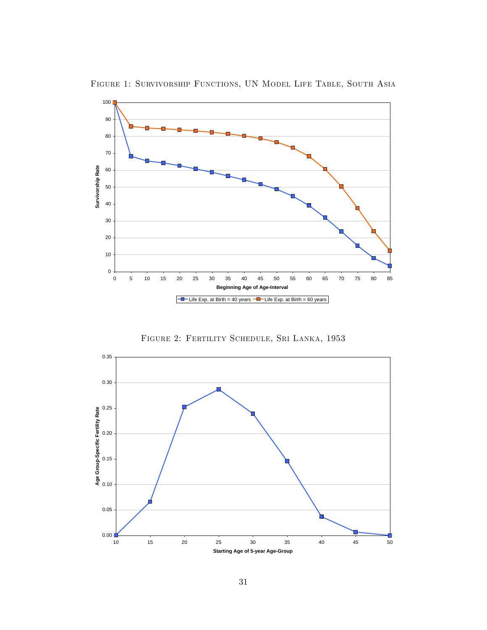

Figure 1: Survivorship Functions, UN Model Life Table, South Asia

Figure 2: Fertility Schedule, Sri Lanka, 1953

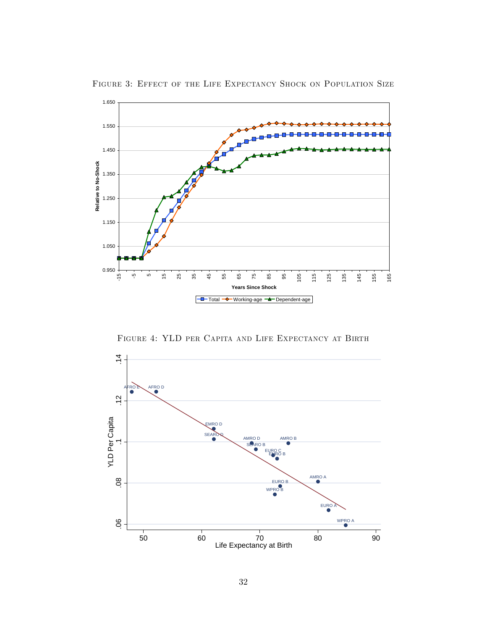

FIGURE 3: EFFECT OF THE LIFE EXPECTANCY SHOCK ON POPULATION SIZE

FIGURE 4: YLD PER CAPITA AND LIFE EXPECTANCY AT BIRTH

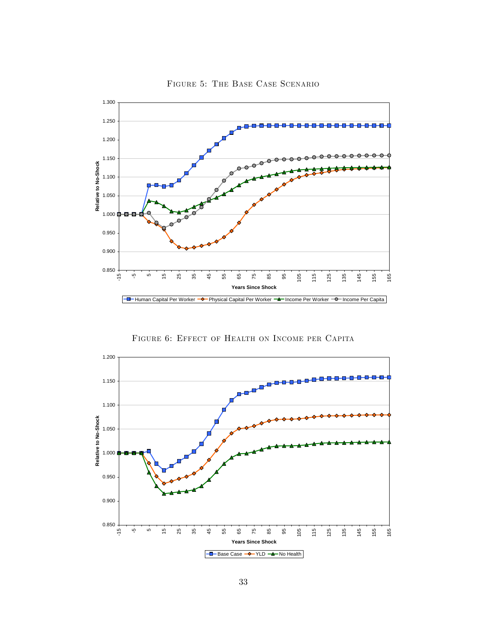

Figure 5: The Base Case Scenario

Figure 6: Effect of Health on Income per Capita

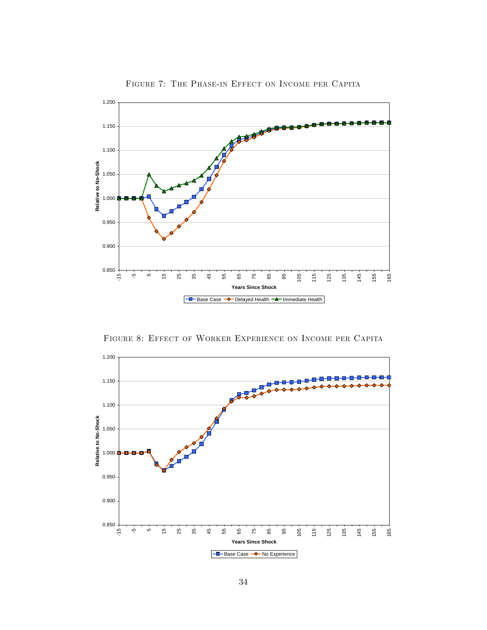

Figure 7: The Phase-in Effect on Income per Capita

Figure 8: Effect of Worker Experience on Income per Capita

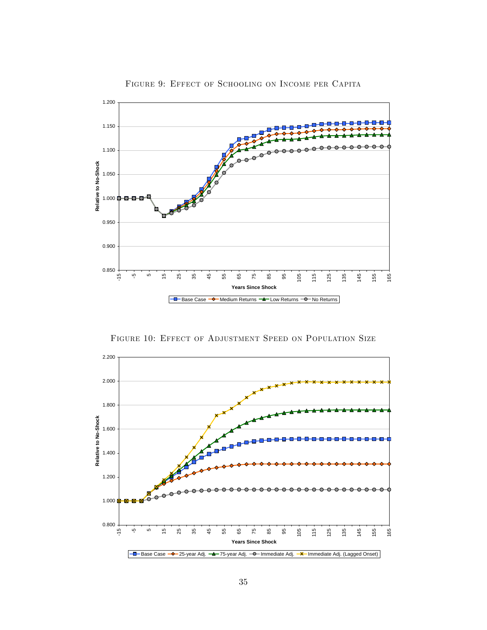

Figure 9: Effect of Schooling on Income per Capita

FIGURE 10: EFFECT OF ADJUSTMENT SPEED ON POPULATION SIZE

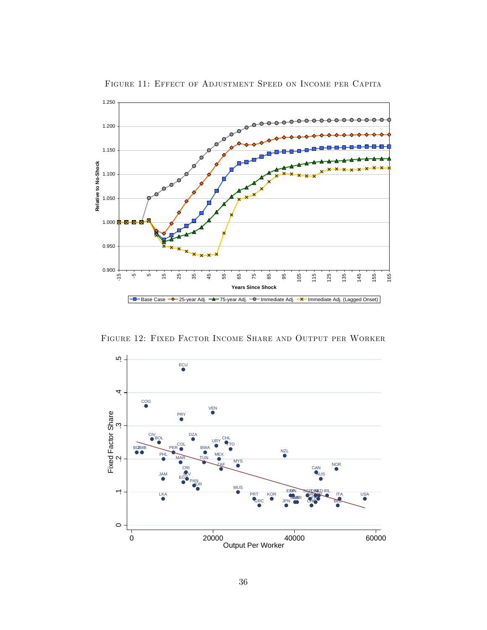

Figure 11: Effect of Adjustment Speed on Income per Capita

Figure 12: Fixed Factor Income Share and Output per Worker

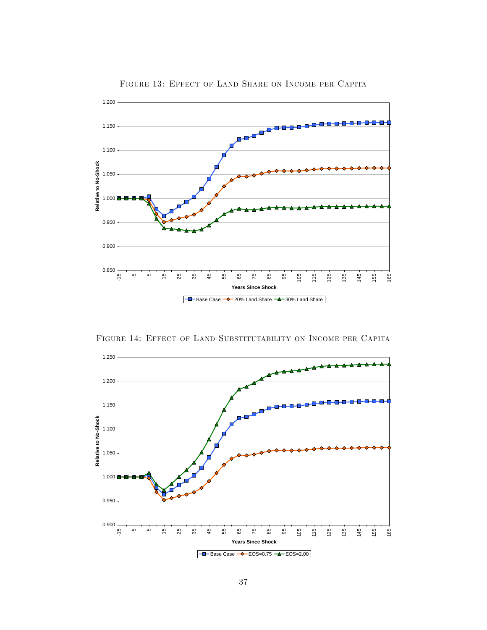

Figure 13: Effect of Land Share on Income per Capita

FIGURE 14: EFFECT OF LAND SUBSTITUTABILITY ON INCOME PER CAPITA

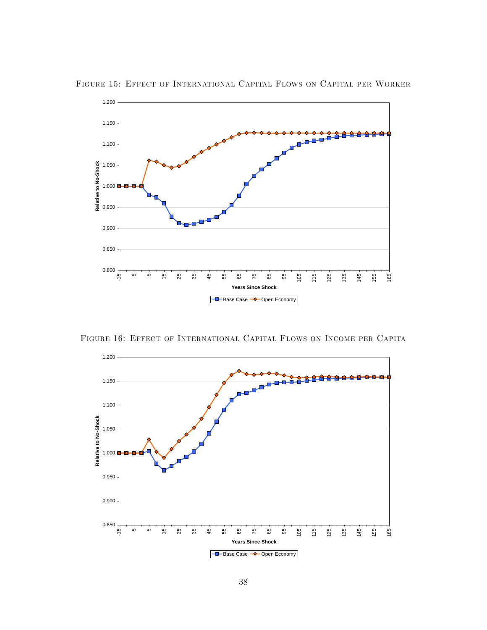

Figure 15: Effect of International Capital Flows on Capital per Worker

Figure 16: Effect of International Capital Flows on Income per Capita

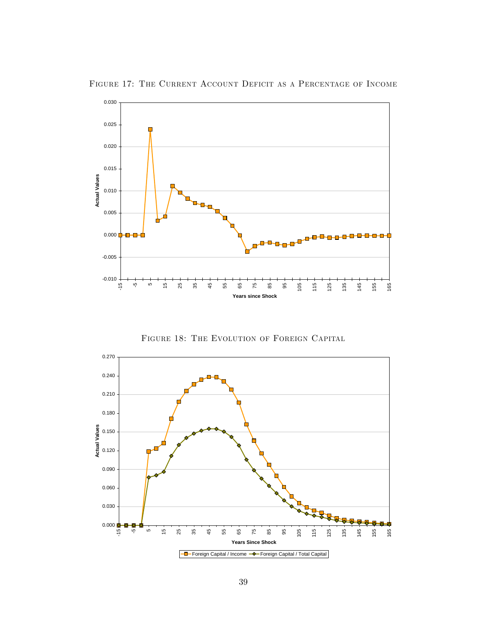

Figure 17: The Current Account Deficit as a Percentage of Income

FIGURE 18: THE EVOLUTION OF FOREIGN CAPITAL

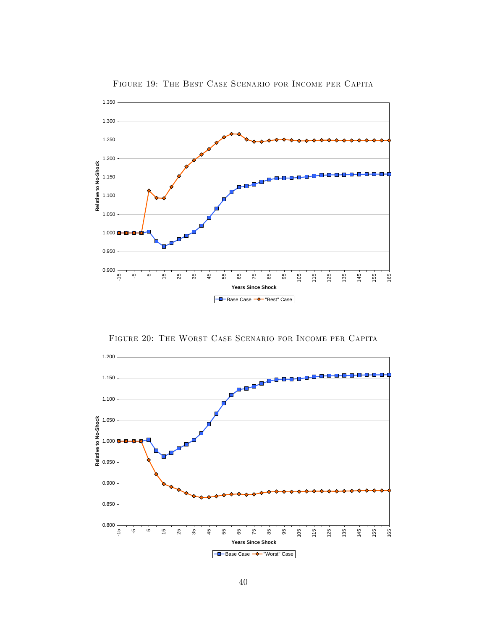

Figure 19: The Best Case Scenario for Income per Capita

Figure 20: The Worst Case Scenario for Income per Capita

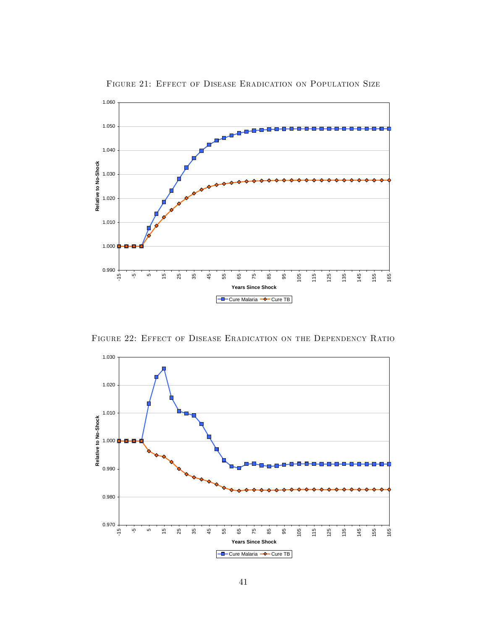

Figure 21: Effect of Disease Eradication on Population Size

FIGURE 22: EFFECT OF DISEASE ERADICATION ON THE DEPENDENCY RATIO

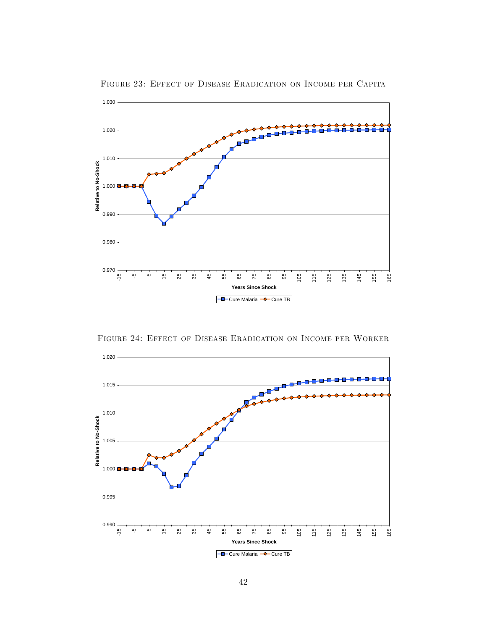

Figure 23: Effect of Disease Eradication on Income per Capita

Figure 24: Effect of Disease Eradication on Income per Worker

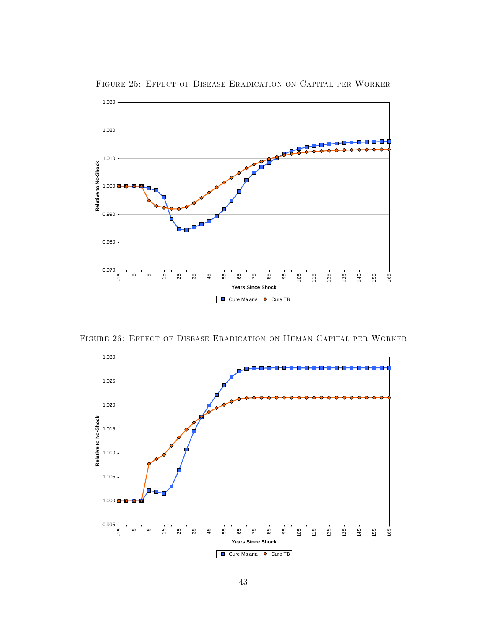

Figure 25: Effect of Disease Eradication on Capital per Worker

Figure 26: Effect of Disease Eradication on Human Capital per Worker